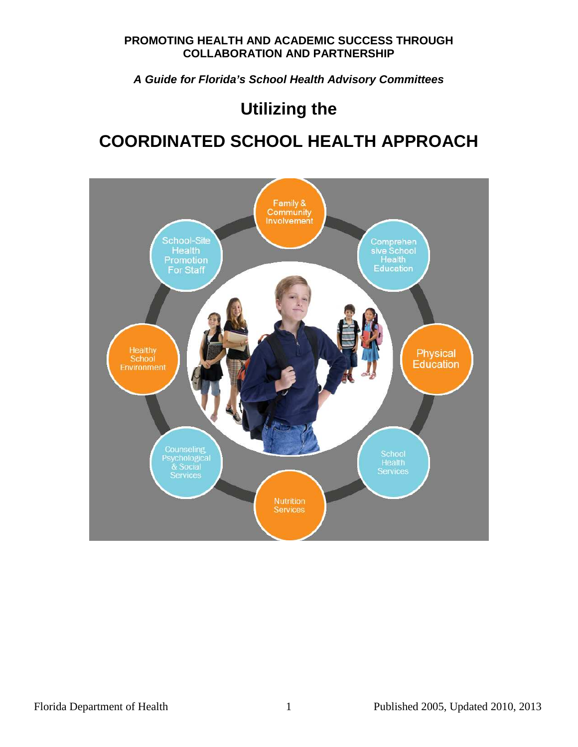**A Guide for Florida's School Health Advisory Committees** 

# **Utilizing the**

# **COORDINATED SCHOOL HEALTH APPROACH**

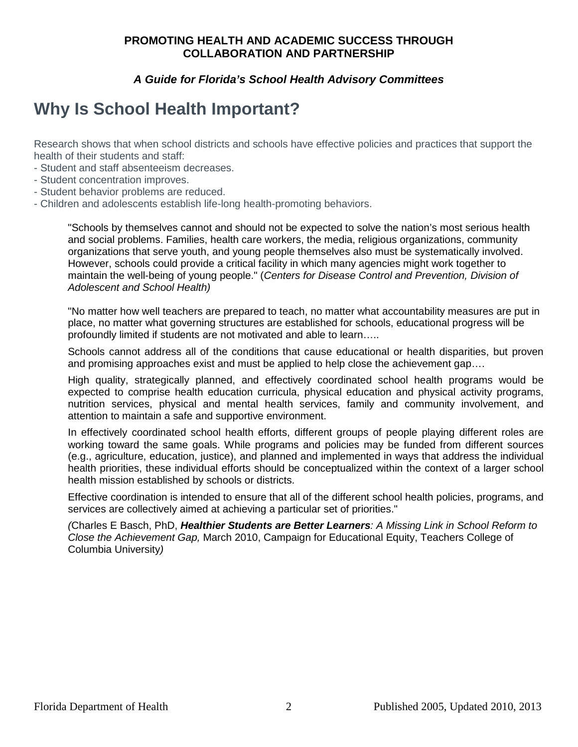#### **A Guide for Florida's School Health Advisory Committees**

# **Why Is School Health Important?**

Research shows that when school districts and schools have effective policies and practices that support the health of their students and staff:

- Student and staff absenteeism decreases.
- Student concentration improves.
- Student behavior problems are reduced.
- Children and adolescents establish life-long health-promoting behaviors.

"Schools by themselves cannot and should not be expected to solve the nation's most serious health and social problems. Families, health care workers, the media, religious organizations, community organizations that serve youth, and young people themselves also must be systematically involved. However, schools could provide a critical facility in which many agencies might work together to maintain the well-being of young people." (Centers for Disease Control and Prevention, Division of Adolescent and School Health)

"No matter how well teachers are prepared to teach, no matter what accountability measures are put in place, no matter what governing structures are established for schools, educational progress will be profoundly limited if students are not motivated and able to learn…..

Schools cannot address all of the conditions that cause educational or health disparities, but proven and promising approaches exist and must be applied to help close the achievement gap….

High quality, strategically planned, and effectively coordinated school health programs would be expected to comprise health education curricula, physical education and physical activity programs, nutrition services, physical and mental health services, family and community involvement, and attention to maintain a safe and supportive environment.

In effectively coordinated school health efforts, different groups of people playing different roles are working toward the same goals. While programs and policies may be funded from different sources (e.g., agriculture, education, justice), and planned and implemented in ways that address the individual health priorities, these individual efforts should be conceptualized within the context of a larger school health mission established by schools or districts.

Effective coordination is intended to ensure that all of the different school health policies, programs, and services are collectively aimed at achieving a particular set of priorities."

(Charles E Basch, PhD, **Healthier Students are Better Learners**: A Missing Link in School Reform to Close the Achievement Gap, March 2010, Campaign for Educational Equity, Teachers College of Columbia University)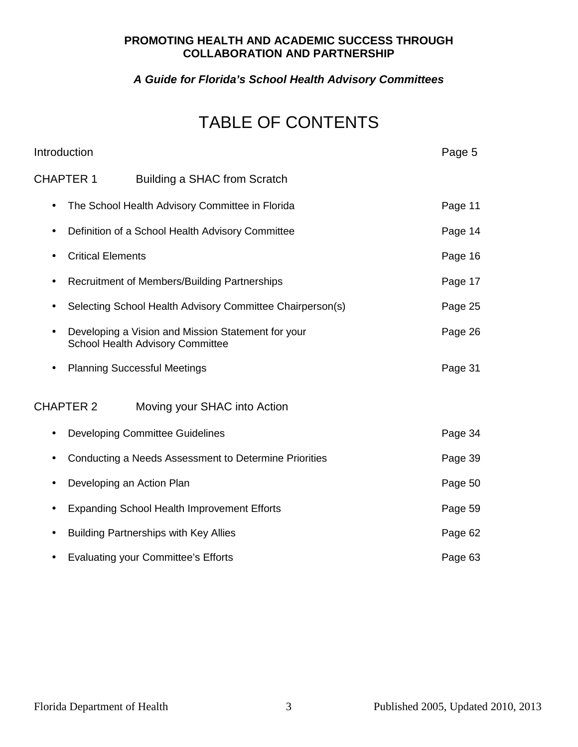### **A Guide for Florida's School Health Advisory Committees**

# TABLE OF CONTENTS

| Introduction             |                                                                                               | Page 5  |
|--------------------------|-----------------------------------------------------------------------------------------------|---------|
| <b>CHAPTER 1</b>         | Building a SHAC from Scratch                                                                  |         |
| ٠                        | The School Health Advisory Committee in Florida                                               | Page 11 |
|                          | Definition of a School Health Advisory Committee                                              | Page 14 |
| <b>Critical Elements</b> |                                                                                               | Page 16 |
|                          | Recruitment of Members/Building Partnerships                                                  | Page 17 |
|                          | Selecting School Health Advisory Committee Chairperson(s)                                     | Page 25 |
| $\bullet$                | Developing a Vision and Mission Statement for your<br><b>School Health Advisory Committee</b> | Page 26 |
|                          | <b>Planning Successful Meetings</b>                                                           | Page 31 |
| <b>CHAPTER 2</b>         | Moving your SHAC into Action                                                                  |         |
| ٠                        | <b>Developing Committee Guidelines</b>                                                        | Page 34 |
|                          | Conducting a Needs Assessment to Determine Priorities                                         | Page 39 |
| $\bullet$                | Developing an Action Plan                                                                     | Page 50 |
|                          | <b>Expanding School Health Improvement Efforts</b>                                            | Page 59 |
|                          | <b>Building Partnerships with Key Allies</b>                                                  | Page 62 |
|                          | <b>Evaluating your Committee's Efforts</b>                                                    | Page 63 |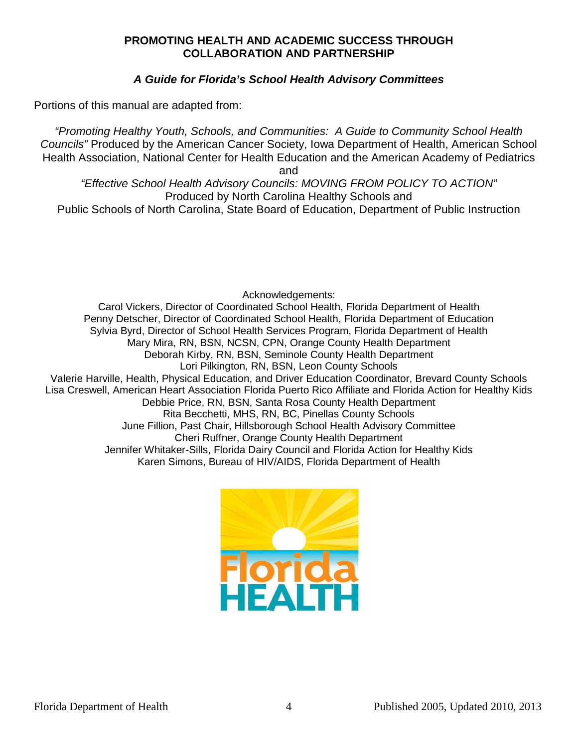#### **A Guide for Florida's School Health Advisory Committees**

Portions of this manual are adapted from:

"Promoting Healthy Youth, Schools, and Communities: A Guide to Community School Health Councils" Produced by the American Cancer Society, Iowa Department of Health, American School Health Association, National Center for Health Education and the American Academy of Pediatrics

and

"Effective School Health Advisory Councils: MOVING FROM POLICY TO ACTION" Produced by North Carolina Healthy Schools and Public Schools of North Carolina, State Board of Education, Department of Public Instruction

Acknowledgements:

Carol Vickers, Director of Coordinated School Health, Florida Department of Health Penny Detscher, Director of Coordinated School Health, Florida Department of Education Sylvia Byrd, Director of School Health Services Program, Florida Department of Health Mary Mira, RN, BSN, NCSN, CPN, Orange County Health Department Deborah Kirby, RN, BSN, Seminole County Health Department Lori Pilkington, RN, BSN, Leon County Schools Valerie Harville, Health, Physical Education, and Driver Education Coordinator, Brevard County Schools Lisa Creswell, American Heart Association Florida Puerto Rico Affiliate and Florida Action for Healthy Kids Debbie Price, RN, BSN, Santa Rosa County Health Department Rita Becchetti, MHS, RN, BC, Pinellas County Schools June Fillion, Past Chair, Hillsborough School Health Advisory Committee Cheri Ruffner, Orange County Health Department Jennifer Whitaker-Sills, Florida Dairy Council and Florida Action for Healthy Kids Karen Simons, Bureau of HIV/AIDS, Florida Department of Health

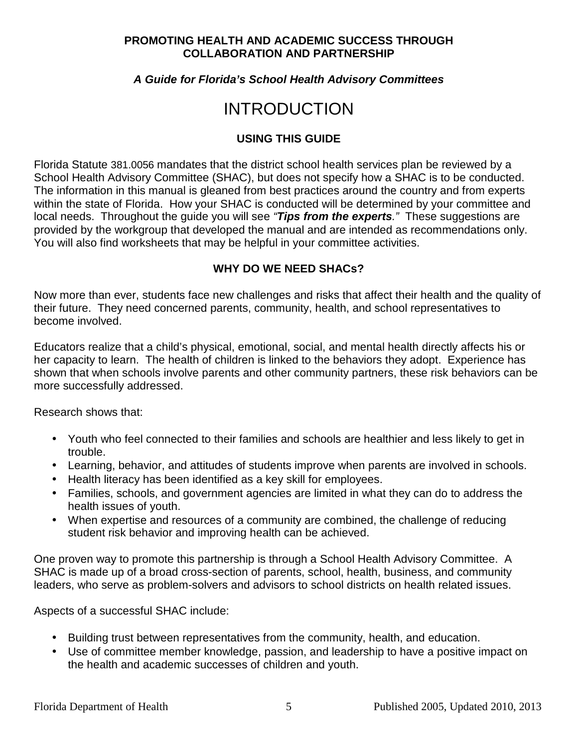#### **A Guide for Florida's School Health Advisory Committees**

# INTRODUCTION

#### **USING THIS GUIDE**

Florida Statute 381.0056 mandates that the district school health services plan be reviewed by a School Health Advisory Committee (SHAC), but does not specify how a SHAC is to be conducted. The information in this manual is gleaned from best practices around the country and from experts within the state of Florida. How your SHAC is conducted will be determined by your committee and local needs. Throughout the guide you will see "**Tips from the experts**." These suggestions are provided by the workgroup that developed the manual and are intended as recommendations only. You will also find worksheets that may be helpful in your committee activities.

#### **WHY DO WE NEED SHACs?**

Now more than ever, students face new challenges and risks that affect their health and the quality of their future. They need concerned parents, community, health, and school representatives to become involved.

Educators realize that a child's physical, emotional, social, and mental health directly affects his or her capacity to learn. The health of children is linked to the behaviors they adopt. Experience has shown that when schools involve parents and other community partners, these risk behaviors can be more successfully addressed.

Research shows that:

- Youth who feel connected to their families and schools are healthier and less likely to get in trouble.
- Learning, behavior, and attitudes of students improve when parents are involved in schools.
- Health literacy has been identified as a key skill for employees.
- Families, schools, and government agencies are limited in what they can do to address the health issues of youth.
- When expertise and resources of a community are combined, the challenge of reducing student risk behavior and improving health can be achieved.

One proven way to promote this partnership is through a School Health Advisory Committee. A SHAC is made up of a broad cross-section of parents, school, health, business, and community leaders, who serve as problem-solvers and advisors to school districts on health related issues.

Aspects of a successful SHAC include:

- Building trust between representatives from the community, health, and education.
- Use of committee member knowledge, passion, and leadership to have a positive impact on the health and academic successes of children and youth.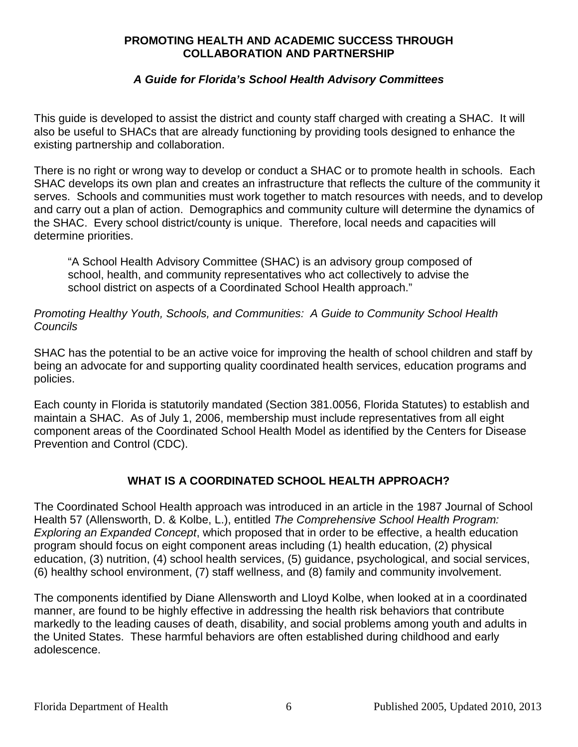#### **A Guide for Florida's School Health Advisory Committees**

This guide is developed to assist the district and county staff charged with creating a SHAC. It will also be useful to SHACs that are already functioning by providing tools designed to enhance the existing partnership and collaboration.

There is no right or wrong way to develop or conduct a SHAC or to promote health in schools. Each SHAC develops its own plan and creates an infrastructure that reflects the culture of the community it serves. Schools and communities must work together to match resources with needs, and to develop and carry out a plan of action. Demographics and community culture will determine the dynamics of the SHAC. Every school district/county is unique. Therefore, local needs and capacities will determine priorities.

"A School Health Advisory Committee (SHAC) is an advisory group composed of school, health, and community representatives who act collectively to advise the school district on aspects of a Coordinated School Health approach."

#### Promoting Healthy Youth, Schools, and Communities: A Guide to Community School Health Councils

SHAC has the potential to be an active voice for improving the health of school children and staff by being an advocate for and supporting quality coordinated health services, education programs and policies.

Each county in Florida is statutorily mandated (Section 381.0056, Florida Statutes) to establish and maintain a SHAC. As of July 1, 2006, membership must include representatives from all eight component areas of the Coordinated School Health Model as identified by the Centers for Disease Prevention and Control (CDC).

#### **WHAT IS A COORDINATED SCHOOL HEALTH APPROACH?**

The Coordinated School Health approach was introduced in an article in the 1987 Journal of School Health 57 (Allensworth, D. & Kolbe, L.), entitled The Comprehensive School Health Program: Exploring an Expanded Concept, which proposed that in order to be effective, a health education program should focus on eight component areas including (1) health education, (2) physical education, (3) nutrition, (4) school health services, (5) guidance, psychological, and social services, (6) healthy school environment, (7) staff wellness, and (8) family and community involvement.

The components identified by Diane Allensworth and Lloyd Kolbe, when looked at in a coordinated manner, are found to be highly effective in addressing the health risk behaviors that contribute markedly to the leading causes of death, disability, and social problems among youth and adults in the United States. These harmful behaviors are often established during childhood and early adolescence.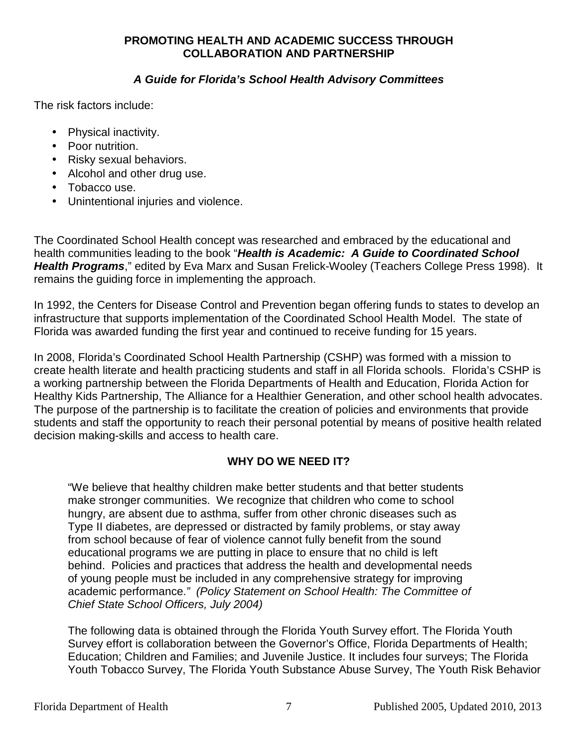#### **A Guide for Florida's School Health Advisory Committees**

The risk factors include:

- Physical inactivity.
- Poor nutrition.
- Risky sexual behaviors.
- Alcohol and other drug use.
- Tobacco use.
- Unintentional injuries and violence.

The Coordinated School Health concept was researched and embraced by the educational and health communities leading to the book "**Health is Academic: A Guide to Coordinated School Health Programs**," edited by Eva Marx and Susan Frelick-Wooley (Teachers College Press 1998). It remains the guiding force in implementing the approach.

In 1992, the Centers for Disease Control and Prevention began offering funds to states to develop an infrastructure that supports implementation of the Coordinated School Health Model. The state of Florida was awarded funding the first year and continued to receive funding for 15 years.

In 2008, Florida's Coordinated School Health Partnership (CSHP) was formed with a mission to create health literate and health practicing students and staff in all Florida schools. Florida's CSHP is a working partnership between the Florida Departments of Health and Education, Florida Action for Healthy Kids Partnership, The Alliance for a Healthier Generation, and other school health advocates. The purpose of the partnership is to facilitate the creation of policies and environments that provide students and staff the opportunity to reach their personal potential by means of positive health related decision making-skills and access to health care.

#### **WHY DO WE NEED IT?**

"We believe that healthy children make better students and that better students make stronger communities. We recognize that children who come to school hungry, are absent due to asthma, suffer from other chronic diseases such as Type II diabetes, are depressed or distracted by family problems, or stay away from school because of fear of violence cannot fully benefit from the sound educational programs we are putting in place to ensure that no child is left behind. Policies and practices that address the health and developmental needs of young people must be included in any comprehensive strategy for improving academic performance." (Policy Statement on School Health: The Committee of Chief State School Officers, July 2004)

The following data is obtained through the Florida Youth Survey effort. The Florida Youth Survey effort is collaboration between the Governor's Office, Florida Departments of Health; Education; Children and Families; and Juvenile Justice. It includes four surveys; The Florida Youth Tobacco Survey, The Florida Youth Substance Abuse Survey, The Youth Risk Behavior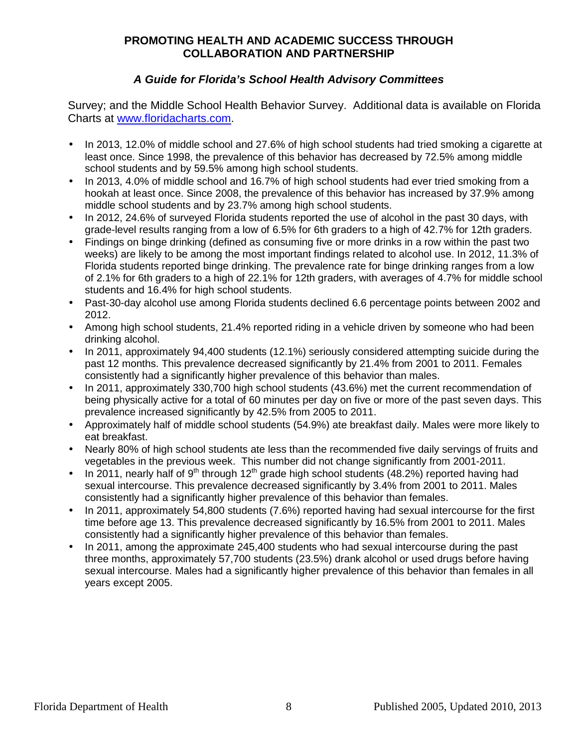#### **A Guide for Florida's School Health Advisory Committees**

Survey; and the Middle School Health Behavior Survey. Additional data is available on Florida Charts at www.floridacharts.com.

- In 2013, 12.0% of middle school and 27.6% of high school students had tried smoking a cigarette at least once. Since 1998, the prevalence of this behavior has decreased by 72.5% among middle school students and by 59.5% among high school students.
- In 2013, 4.0% of middle school and 16.7% of high school students had ever tried smoking from a hookah at least once. Since 2008, the prevalence of this behavior has increased by 37.9% among middle school students and by 23.7% among high school students.
- In 2012, 24.6% of surveyed Florida students reported the use of alcohol in the past 30 days, with grade-level results ranging from a low of 6.5% for 6th graders to a high of 42.7% for 12th graders.
- Findings on binge drinking (defined as consuming five or more drinks in a row within the past two weeks) are likely to be among the most important findings related to alcohol use. In 2012, 11.3% of Florida students reported binge drinking. The prevalence rate for binge drinking ranges from a low of 2.1% for 6th graders to a high of 22.1% for 12th graders, with averages of 4.7% for middle school students and 16.4% for high school students.
- Past-30-day alcohol use among Florida students declined 6.6 percentage points between 2002 and 2012.
- Among high school students, 21.4% reported riding in a vehicle driven by someone who had been drinking alcohol.
- In 2011, approximately 94,400 students (12.1%) seriously considered attempting suicide during the past 12 months. This prevalence decreased significantly by 21.4% from 2001 to 2011. Females consistently had a significantly higher prevalence of this behavior than males.
- In 2011, approximately 330,700 high school students (43.6%) met the current recommendation of being physically active for a total of 60 minutes per day on five or more of the past seven days. This prevalence increased significantly by 42.5% from 2005 to 2011.
- Approximately half of middle school students (54.9%) ate breakfast daily. Males were more likely to eat breakfast.
- Nearly 80% of high school students ate less than the recommended five daily servings of fruits and vegetables in the previous week. This number did not change significantly from 2001-2011.
- In 2011, nearly half of  $9<sup>th</sup>$  through 12<sup>th</sup> grade high school students (48.2%) reported having had sexual intercourse. This prevalence decreased significantly by 3.4% from 2001 to 2011. Males consistently had a significantly higher prevalence of this behavior than females.
- In 2011, approximately 54,800 students (7.6%) reported having had sexual intercourse for the first time before age 13. This prevalence decreased significantly by 16.5% from 2001 to 2011. Males consistently had a significantly higher prevalence of this behavior than females.
- In 2011, among the approximate 245,400 students who had sexual intercourse during the past three months, approximately 57,700 students (23.5%) drank alcohol or used drugs before having sexual intercourse. Males had a significantly higher prevalence of this behavior than females in all years except 2005.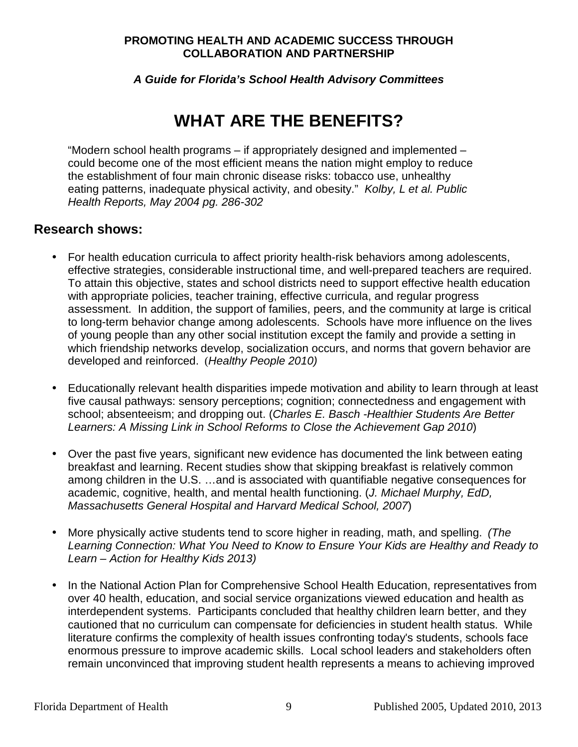**A Guide for Florida's School Health Advisory Committees** 

# **WHAT ARE THE BENEFITS?**

"Modern school health programs – if appropriately designed and implemented – could become one of the most efficient means the nation might employ to reduce the establishment of four main chronic disease risks: tobacco use, unhealthy eating patterns, inadequate physical activity, and obesity." Kolby, L et al. Public Health Reports, May 2004 pg. 286-302

### **Research shows:**

- For health education curricula to affect priority health-risk behaviors among adolescents, effective strategies, considerable instructional time, and well-prepared teachers are required. To attain this objective, states and school districts need to support effective health education with appropriate policies, teacher training, effective curricula, and regular progress assessment. In addition, the support of families, peers, and the community at large is critical to long-term behavior change among adolescents. Schools have more influence on the lives of young people than any other social institution except the family and provide a setting in which friendship networks develop, socialization occurs, and norms that govern behavior are developed and reinforced. (Healthy People 2010)
- Educationally relevant health disparities impede motivation and ability to learn through at least five causal pathways: sensory perceptions; cognition; connectedness and engagement with school; absenteeism; and dropping out. (Charles E. Basch - Healthier Students Are Better Learners: A Missing Link in School Reforms to Close the Achievement Gap 2010)
- Over the past five years, significant new evidence has documented the link between eating breakfast and learning. Recent studies show that skipping breakfast is relatively common among children in the U.S. …and is associated with quantifiable negative consequences for academic, cognitive, health, and mental health functioning. (J. Michael Murphy, EdD, Massachusetts General Hospital and Harvard Medical School, 2007)
- More physically active students tend to score higher in reading, math, and spelling. (The Learning Connection: What You Need to Know to Ensure Your Kids are Healthy and Ready to Learn – Action for Healthy Kids 2013)
- In the National Action Plan for Comprehensive School Health Education, representatives from over 40 health, education, and social service organizations viewed education and health as interdependent systems. Participants concluded that healthy children learn better, and they cautioned that no curriculum can compensate for deficiencies in student health status. While literature confirms the complexity of health issues confronting today's students, schools face enormous pressure to improve academic skills. Local school leaders and stakeholders often remain unconvinced that improving student health represents a means to achieving improved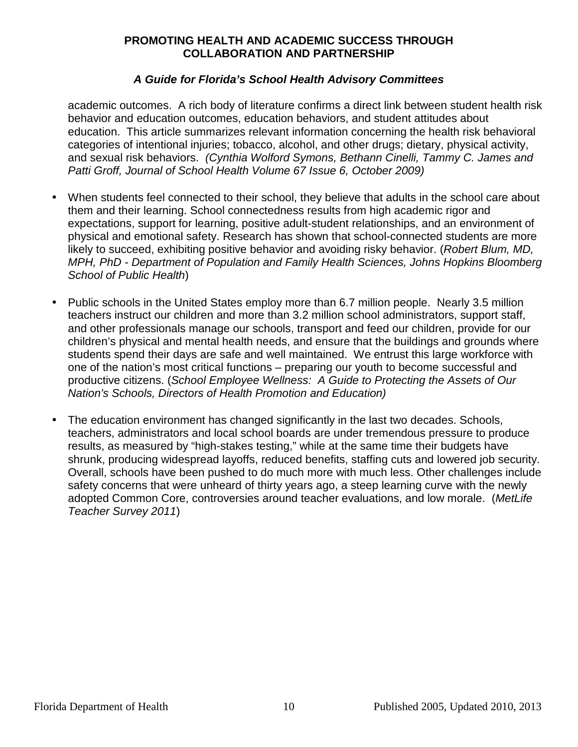#### **A Guide for Florida's School Health Advisory Committees**

academic outcomes. A rich body of literature confirms a direct link between student health risk behavior and education outcomes, education behaviors, and student attitudes about education. This article summarizes relevant information concerning the health risk behavioral categories of intentional injuries; tobacco, alcohol, and other drugs; dietary, physical activity, and sexual risk behaviors. (Cynthia Wolford Symons, Bethann Cinelli, Tammy C. James and Patti Groff, Journal of School Health Volume 67 Issue 6, October 2009)

- When students feel connected to their school, they believe that adults in the school care about them and their learning. School connectedness results from high academic rigor and expectations, support for learning, positive adult-student relationships, and an environment of physical and emotional safety. Research has shown that school-connected students are more likely to succeed, exhibiting positive behavior and avoiding risky behavior. (Robert Blum, MD, MPH, PhD - Department of Population and Family Health Sciences, Johns Hopkins Bloomberg School of Public Health)
- Public schools in the United States employ more than 6.7 million people. Nearly 3.5 million teachers instruct our children and more than 3.2 million school administrators, support staff, and other professionals manage our schools, transport and feed our children, provide for our children's physical and mental health needs, and ensure that the buildings and grounds where students spend their days are safe and well maintained. We entrust this large workforce with one of the nation's most critical functions – preparing our youth to become successful and productive citizens. (School Employee Wellness: A Guide to Protecting the Assets of Our Nation's Schools, Directors of Health Promotion and Education)
- The education environment has changed significantly in the last two decades. Schools, teachers, administrators and local school boards are under tremendous pressure to produce results, as measured by "high-stakes testing," while at the same time their budgets have shrunk, producing widespread layoffs, reduced benefits, staffing cuts and lowered job security. Overall, schools have been pushed to do much more with much less. Other challenges include safety concerns that were unheard of thirty years ago, a steep learning curve with the newly adopted Common Core, controversies around teacher evaluations, and low morale. (MetLife Teacher Survey 2011)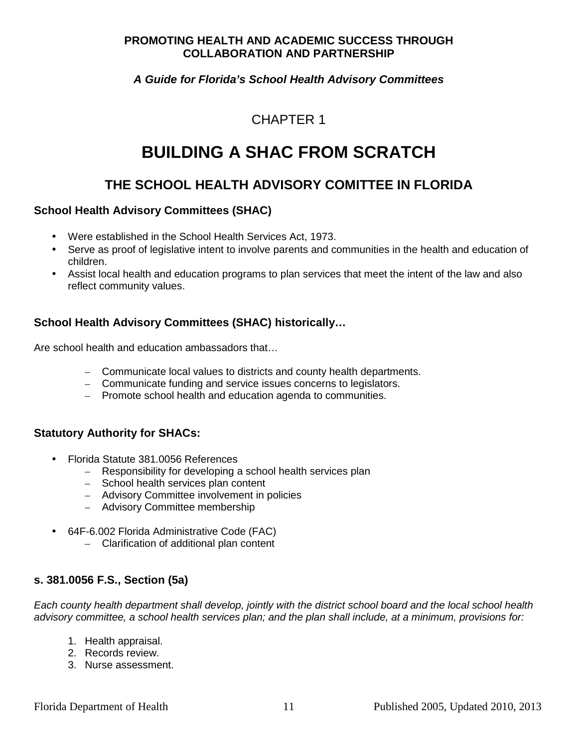#### **A Guide for Florida's School Health Advisory Committees**

## CHAPTER 1

# **BUILDING A SHAC FROM SCRATCH**

## **THE SCHOOL HEALTH ADVISORY COMITTEE IN FLORIDA**

#### **School Health Advisory Committees (SHAC)**

- Were established in the School Health Services Act, 1973.
- Serve as proof of legislative intent to involve parents and communities in the health and education of children.
- Assist local health and education programs to plan services that meet the intent of the law and also reflect community values.

#### **School Health Advisory Committees (SHAC) historically…**

Are school health and education ambassadors that…

- Communicate local values to districts and county health departments.
- Communicate funding and service issues concerns to legislators.
- Promote school health and education agenda to communities.

#### **Statutory Authority for SHACs:**

- Florida Statute 381.0056 References
	- Responsibility for developing a school health services plan
	- School health services plan content
	- Advisory Committee involvement in policies
	- Advisory Committee membership
- 64F-6.002 Florida Administrative Code (FAC)
	- Clarification of additional plan content

#### **s. 381.0056 F.S., Section (5a)**

Each county health department shall develop, jointly with the district school board and the local school health advisory committee, a school health services plan; and the plan shall include, at a minimum, provisions for:

- 1. Health appraisal.
- 2. Records review.
- 3. Nurse assessment.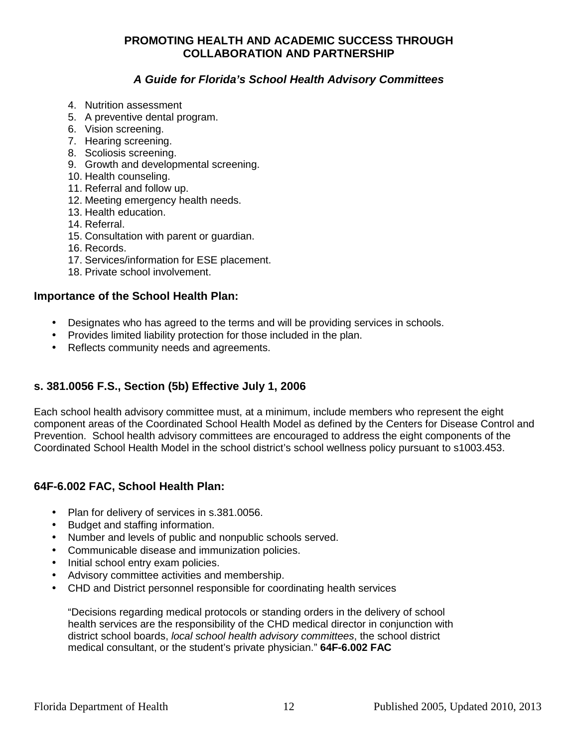#### **A Guide for Florida's School Health Advisory Committees**

- 4. Nutrition assessment
- 5. A preventive dental program.
- 6. Vision screening.
- 7. Hearing screening.
- 8. Scoliosis screening.
- 9. Growth and developmental screening.
- 10. Health counseling.
- 11. Referral and follow up.
- 12. Meeting emergency health needs.
- 13. Health education.
- 14. Referral.
- 15. Consultation with parent or guardian.
- 16. Records.
- 17. Services/information for ESE placement.
- 18. Private school involvement.

#### **Importance of the School Health Plan:**

- Designates who has agreed to the terms and will be providing services in schools.
- Provides limited liability protection for those included in the plan.
- Reflects community needs and agreements.

#### **s. 381.0056 F.S., Section (5b) Effective July 1, 2006**

Each school health advisory committee must, at a minimum, include members who represent the eight component areas of the Coordinated School Health Model as defined by the Centers for Disease Control and Prevention. School health advisory committees are encouraged to address the eight components of the Coordinated School Health Model in the school district's school wellness policy pursuant to s1003.453.

#### **64F-6.002 FAC, School Health Plan:**

- Plan for delivery of services in s.381.0056.
- Budget and staffing information.
- Number and levels of public and nonpublic schools served.
- Communicable disease and immunization policies.
- Initial school entry exam policies.
- Advisory committee activities and membership.
- CHD and District personnel responsible for coordinating health services

"Decisions regarding medical protocols or standing orders in the delivery of school health services are the responsibility of the CHD medical director in conjunction with district school boards, local school health advisory committees, the school district medical consultant, or the student's private physician." **64F-6.002 FAC**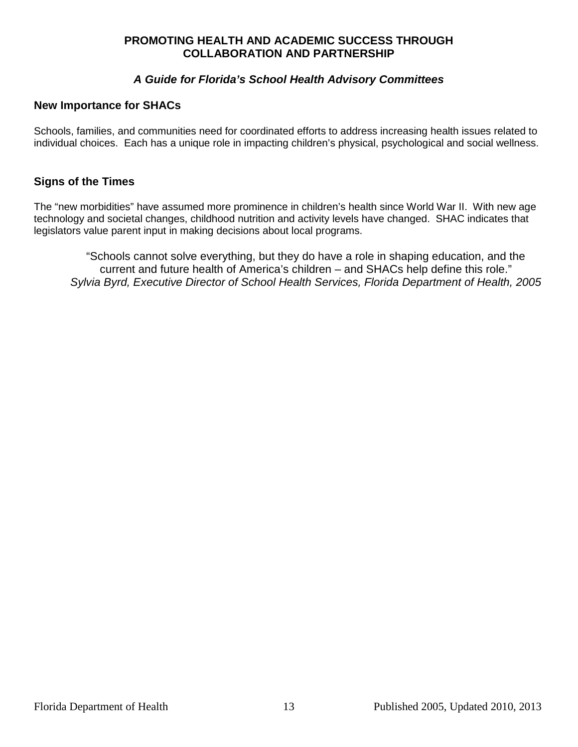#### **A Guide for Florida's School Health Advisory Committees**

#### **New Importance for SHACs**

Schools, families, and communities need for coordinated efforts to address increasing health issues related to individual choices. Each has a unique role in impacting children's physical, psychological and social wellness.

#### **Signs of the Times**

The "new morbidities" have assumed more prominence in children's health since World War II. With new age technology and societal changes, childhood nutrition and activity levels have changed. SHAC indicates that legislators value parent input in making decisions about local programs.

"Schools cannot solve everything, but they do have a role in shaping education, and the current and future health of America's children – and SHACs help define this role." Sylvia Byrd, Executive Director of School Health Services, Florida Department of Health, 2005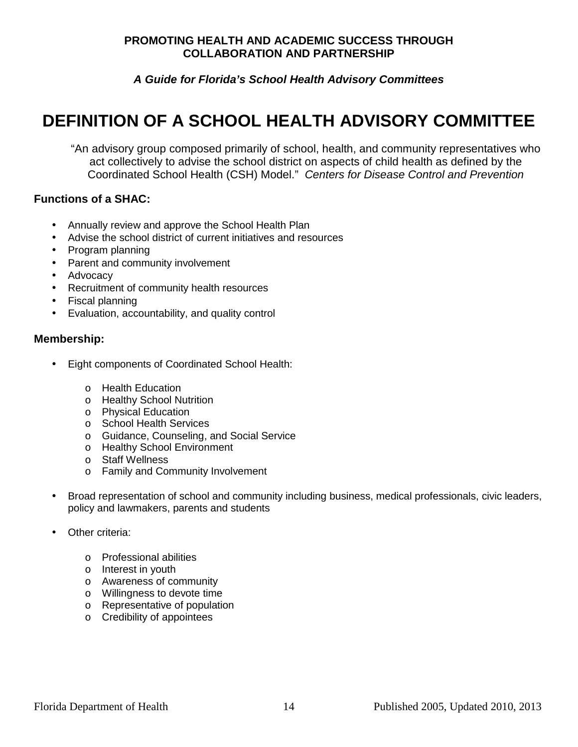**A Guide for Florida's School Health Advisory Committees** 

# **DEFINITION OF A SCHOOL HEALTH ADVISORY COMMITTEE**

"An advisory group composed primarily of school, health, and community representatives who act collectively to advise the school district on aspects of child health as defined by the Coordinated School Health (CSH) Model." Centers for Disease Control and Prevention

#### **Functions of a SHAC:**

- Annually review and approve the School Health Plan
- Advise the school district of current initiatives and resources
- Program planning
- Parent and community involvement
- Advocacy
- Recruitment of community health resources
- Fiscal planning
- Evaluation, accountability, and quality control

### **Membership:**

- Eight components of Coordinated School Health:
	- o Health Education
	- o Healthy School Nutrition
	- o Physical Education
	- o School Health Services
	- o Guidance, Counseling, and Social Service
	- o Healthy School Environment
	- o Staff Wellness
	- o Family and Community Involvement
- Broad representation of school and community including business, medical professionals, civic leaders, policy and lawmakers, parents and students
- Other criteria:
	- o Professional abilities
	- o Interest in youth
	- o Awareness of community
	- o Willingness to devote time
	- o Representative of population
	- o Credibility of appointees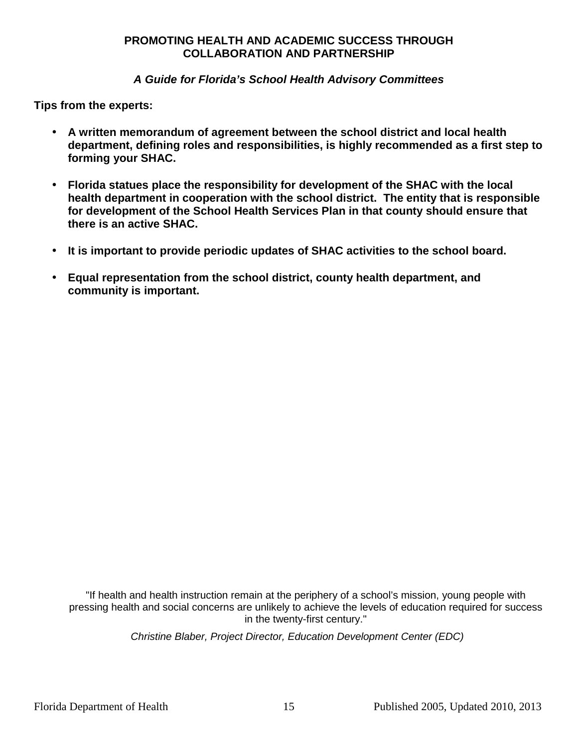#### **A Guide for Florida's School Health Advisory Committees**

**Tips from the experts:** 

- **A written memorandum of agreement between the school district and local health department, defining roles and responsibilities, is highly recommended as a first step to forming your SHAC.**
- **Florida statues place the responsibility for development of the SHAC with the local health department in cooperation with the school district. The entity that is responsible for development of the School Health Services Plan in that county should ensure that there is an active SHAC.**
- **It is important to provide periodic updates of SHAC activities to the school board.**
- **Equal representation from the school district, county health department, and community is important.**

"If health and health instruction remain at the periphery of a school's mission, young people with pressing health and social concerns are unlikely to achieve the levels of education required for success in the twenty-first century."

Christine Blaber, Project Director, Education Development Center (EDC)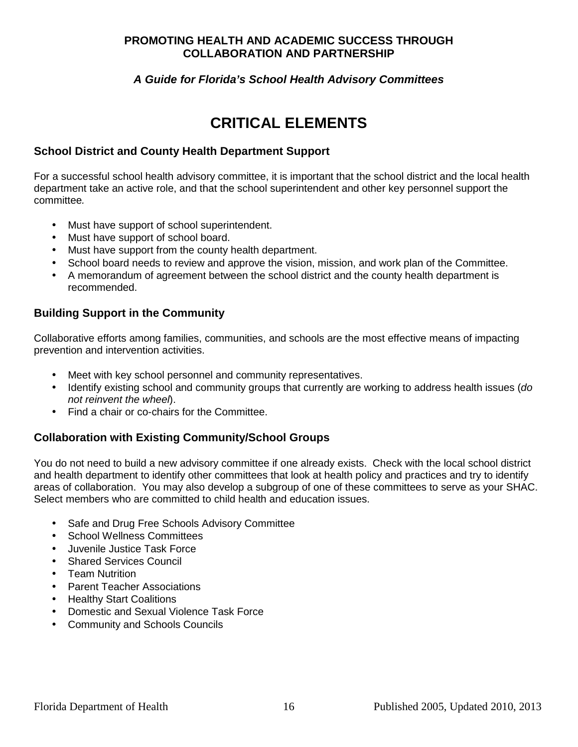#### **A Guide for Florida's School Health Advisory Committees**

# **CRITICAL ELEMENTS**

#### **School District and County Health Department Support**

For a successful school health advisory committee, it is important that the school district and the local health department take an active role, and that the school superintendent and other key personnel support the committee.

- Must have support of school superintendent.
- Must have support of school board.
- Must have support from the county health department.
- School board needs to review and approve the vision, mission, and work plan of the Committee.
- A memorandum of agreement between the school district and the county health department is recommended.

#### **Building Support in the Community**

Collaborative efforts among families, communities, and schools are the most effective means of impacting prevention and intervention activities.

- Meet with key school personnel and community representatives.
- Identify existing school and community groups that currently are working to address health issues (do not reinvent the wheel).
- Find a chair or co-chairs for the Committee.

#### **Collaboration with Existing Community/School Groups**

You do not need to build a new advisory committee if one already exists. Check with the local school district and health department to identify other committees that look at health policy and practices and try to identify areas of collaboration. You may also develop a subgroup of one of these committees to serve as your SHAC. Select members who are committed to child health and education issues.

- Safe and Drug Free Schools Advisory Committee
- School Wellness Committees
- Juvenile Justice Task Force
- **Shared Services Council**
- Team Nutrition
- Parent Teacher Associations
- **Healthy Start Coalitions**
- Domestic and Sexual Violence Task Force
- Community and Schools Councils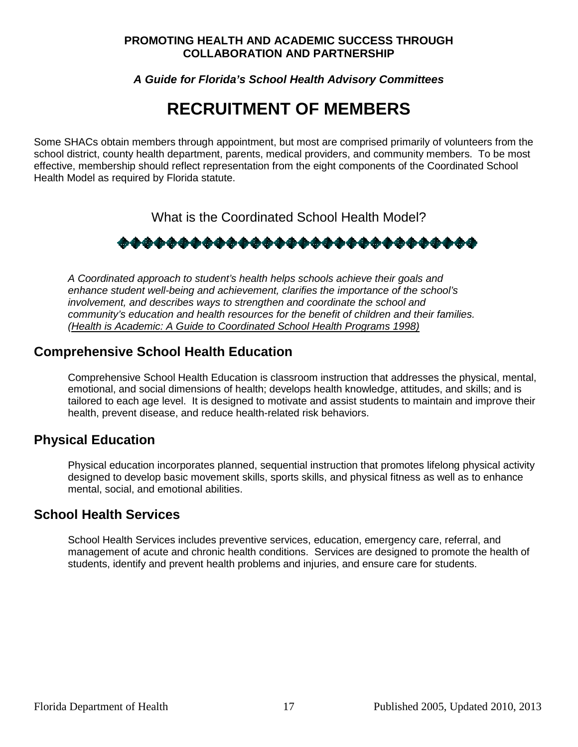**A Guide for Florida's School Health Advisory Committees** 

# **RECRUITMENT OF MEMBERS**

Some SHACs obtain members through appointment, but most are comprised primarily of volunteers from the school district, county health department, parents, medical providers, and community members. To be most effective, membership should reflect representation from the eight components of the Coordinated School Health Model as required by Florida statute.

What is the Coordinated School Health Model?

\*\*\*\*\*\*\*\*\*\*\*\*\*\*\*\*\*\*\*\*\*\*\*\*\*\*\*\*\*\*

A Coordinated approach to student's health helps schools achieve their goals and enhance student well-being and achievement, clarifies the importance of the school's involvement, and describes ways to strengthen and coordinate the school and community's education and health resources for the benefit of children and their families. (Health is Academic: A Guide to Coordinated School Health Programs 1998)

## **Comprehensive School Health Education**

Comprehensive School Health Education is classroom instruction that addresses the physical, mental, emotional, and social dimensions of health; develops health knowledge, attitudes, and skills; and is tailored to each age level. It is designed to motivate and assist students to maintain and improve their health, prevent disease, and reduce health-related risk behaviors.

## **Physical Education**

Physical education incorporates planned, sequential instruction that promotes lifelong physical activity designed to develop basic movement skills, sports skills, and physical fitness as well as to enhance mental, social, and emotional abilities.

## **School Health Services**

School Health Services includes preventive services, education, emergency care, referral, and management of acute and chronic health conditions. Services are designed to promote the health of students, identify and prevent health problems and injuries, and ensure care for students.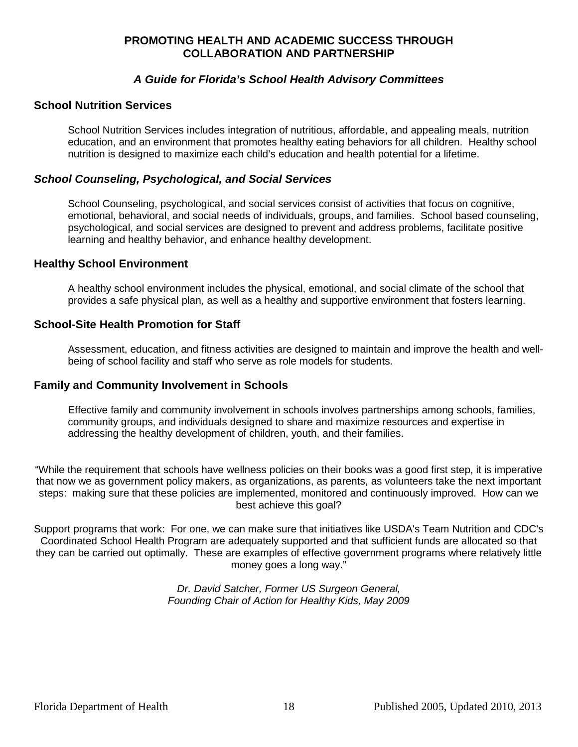#### **A Guide for Florida's School Health Advisory Committees**

#### **School Nutrition Services**

School Nutrition Services includes integration of nutritious, affordable, and appealing meals, nutrition education, and an environment that promotes healthy eating behaviors for all children. Healthy school nutrition is designed to maximize each child's education and health potential for a lifetime.

#### **School Counseling, Psychological, and Social Services**

School Counseling, psychological, and social services consist of activities that focus on cognitive, emotional, behavioral, and social needs of individuals, groups, and families. School based counseling, psychological, and social services are designed to prevent and address problems, facilitate positive learning and healthy behavior, and enhance healthy development.

#### **Healthy School Environment**

A healthy school environment includes the physical, emotional, and social climate of the school that provides a safe physical plan, as well as a healthy and supportive environment that fosters learning.

#### **School-Site Health Promotion for Staff**

Assessment, education, and fitness activities are designed to maintain and improve the health and wellbeing of school facility and staff who serve as role models for students.

#### **Family and Community Involvement in Schools**

Effective family and community involvement in schools involves partnerships among schools, families, community groups, and individuals designed to share and maximize resources and expertise in addressing the healthy development of children, youth, and their families.

"While the requirement that schools have wellness policies on their books was a good first step, it is imperative that now we as government policy makers, as organizations, as parents, as volunteers take the next important steps: making sure that these policies are implemented, monitored and continuously improved. How can we best achieve this goal?

Support programs that work: For one, we can make sure that initiatives like USDA's Team Nutrition and CDC's Coordinated School Health Program are adequately supported and that sufficient funds are allocated so that they can be carried out optimally. These are examples of effective government programs where relatively little money goes a long way."

> Dr. David Satcher, Former US Surgeon General, Founding Chair of Action for Healthy Kids, May 2009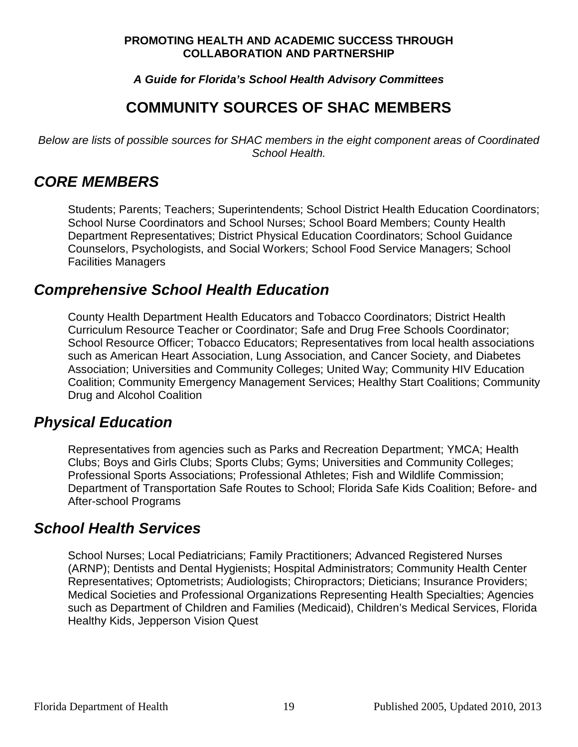#### **A Guide for Florida's School Health Advisory Committees**

# **COMMUNITY SOURCES OF SHAC MEMBERS**

Below are lists of possible sources for SHAC members in the eight component areas of Coordinated School Health.

## **CORE MEMBERS**

Students; Parents; Teachers; Superintendents; School District Health Education Coordinators; School Nurse Coordinators and School Nurses; School Board Members; County Health Department Representatives; District Physical Education Coordinators; School Guidance Counselors, Psychologists, and Social Workers; School Food Service Managers; School Facilities Managers

## **Comprehensive School Health Education**

County Health Department Health Educators and Tobacco Coordinators; District Health Curriculum Resource Teacher or Coordinator; Safe and Drug Free Schools Coordinator; School Resource Officer; Tobacco Educators; Representatives from local health associations such as American Heart Association, Lung Association, and Cancer Society, and Diabetes Association; Universities and Community Colleges; United Way; Community HIV Education Coalition; Community Emergency Management Services; Healthy Start Coalitions; Community Drug and Alcohol Coalition

## **Physical Education**

Representatives from agencies such as Parks and Recreation Department; YMCA; Health Clubs; Boys and Girls Clubs; Sports Clubs; Gyms; Universities and Community Colleges; Professional Sports Associations; Professional Athletes; Fish and Wildlife Commission; Department of Transportation Safe Routes to School; Florida Safe Kids Coalition; Before- and After-school Programs

## **School Health Services**

School Nurses; Local Pediatricians; Family Practitioners; Advanced Registered Nurses (ARNP); Dentists and Dental Hygienists; Hospital Administrators; Community Health Center Representatives; Optometrists; Audiologists; Chiropractors; Dieticians; Insurance Providers; Medical Societies and Professional Organizations Representing Health Specialties; Agencies such as Department of Children and Families (Medicaid), Children's Medical Services, Florida Healthy Kids, Jepperson Vision Quest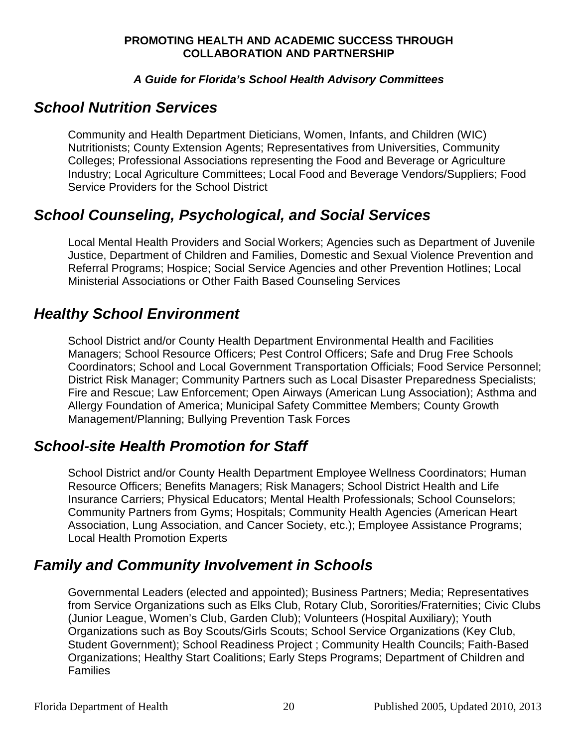#### **A Guide for Florida's School Health Advisory Committees**

## **School Nutrition Services**

Community and Health Department Dieticians, Women, Infants, and Children (WIC) Nutritionists; County Extension Agents; Representatives from Universities, Community Colleges; Professional Associations representing the Food and Beverage or Agriculture Industry; Local Agriculture Committees; Local Food and Beverage Vendors/Suppliers; Food Service Providers for the School District

# **School Counseling, Psychological, and Social Services**

Local Mental Health Providers and Social Workers; Agencies such as Department of Juvenile Justice, Department of Children and Families, Domestic and Sexual Violence Prevention and Referral Programs; Hospice; Social Service Agencies and other Prevention Hotlines; Local Ministerial Associations or Other Faith Based Counseling Services

# **Healthy School Environment**

School District and/or County Health Department Environmental Health and Facilities Managers; School Resource Officers; Pest Control Officers; Safe and Drug Free Schools Coordinators; School and Local Government Transportation Officials; Food Service Personnel; District Risk Manager; Community Partners such as Local Disaster Preparedness Specialists; Fire and Rescue; Law Enforcement; Open Airways (American Lung Association); Asthma and Allergy Foundation of America; Municipal Safety Committee Members; County Growth Management/Planning; Bullying Prevention Task Forces

## **School-site Health Promotion for Staff**

School District and/or County Health Department Employee Wellness Coordinators; Human Resource Officers; Benefits Managers; Risk Managers; School District Health and Life Insurance Carriers; Physical Educators; Mental Health Professionals; School Counselors; Community Partners from Gyms; Hospitals; Community Health Agencies (American Heart Association, Lung Association, and Cancer Society, etc.); Employee Assistance Programs; Local Health Promotion Experts

# **Family and Community Involvement in Schools**

Governmental Leaders (elected and appointed); Business Partners; Media; Representatives from Service Organizations such as Elks Club, Rotary Club, Sororities/Fraternities; Civic Clubs (Junior League, Women's Club, Garden Club); Volunteers (Hospital Auxiliary); Youth Organizations such as Boy Scouts/Girls Scouts; School Service Organizations (Key Club, Student Government); School Readiness Project ; Community Health Councils; Faith-Based Organizations; Healthy Start Coalitions; Early Steps Programs; Department of Children and Families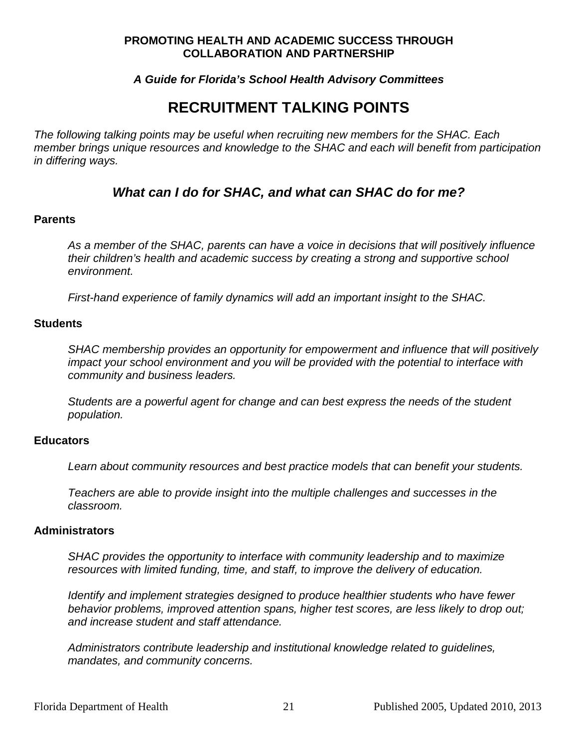#### **A Guide for Florida's School Health Advisory Committees**

## **RECRUITMENT TALKING POINTS**

The following talking points may be useful when recruiting new members for the SHAC. Each member brings unique resources and knowledge to the SHAC and each will benefit from participation in differing ways.

### **What can I do for SHAC, and what can SHAC do for me?**

#### **Parents**

As a member of the SHAC, parents can have a voice in decisions that will positively influence their children's health and academic success by creating a strong and supportive school environment.

First-hand experience of family dynamics will add an important insight to the SHAC.

#### **Students**

SHAC membership provides an opportunity for empowerment and influence that will positively impact your school environment and you will be provided with the potential to interface with community and business leaders.

Students are a powerful agent for change and can best express the needs of the student population.

#### **Educators**

Learn about community resources and best practice models that can benefit your students.

Teachers are able to provide insight into the multiple challenges and successes in the classroom.

#### **Administrators**

SHAC provides the opportunity to interface with community leadership and to maximize resources with limited funding, time, and staff, to improve the delivery of education.

Identify and implement strategies designed to produce healthier students who have fewer behavior problems, improved attention spans, higher test scores, are less likely to drop out; and increase student and staff attendance.

Administrators contribute leadership and institutional knowledge related to guidelines, mandates, and community concerns.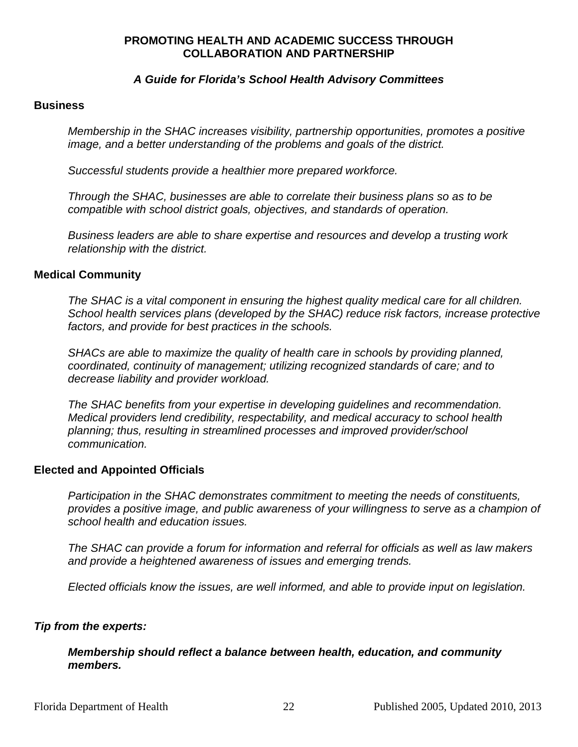#### **A Guide for Florida's School Health Advisory Committees**

#### **Business**

Membership in the SHAC increases visibility, partnership opportunities, promotes a positive image, and a better understanding of the problems and goals of the district.

Successful students provide a healthier more prepared workforce.

Through the SHAC, businesses are able to correlate their business plans so as to be compatible with school district goals, objectives, and standards of operation.

Business leaders are able to share expertise and resources and develop a trusting work relationship with the district.

#### **Medical Community**

The SHAC is a vital component in ensuring the highest quality medical care for all children. School health services plans (developed by the SHAC) reduce risk factors, increase protective factors, and provide for best practices in the schools.

SHACs are able to maximize the quality of health care in schools by providing planned, coordinated, continuity of management; utilizing recognized standards of care; and to decrease liability and provider workload.

The SHAC benefits from your expertise in developing guidelines and recommendation. Medical providers lend credibility, respectability, and medical accuracy to school health planning; thus, resulting in streamlined processes and improved provider/school communication.

#### **Elected and Appointed Officials**

Participation in the SHAC demonstrates commitment to meeting the needs of constituents, provides a positive image, and public awareness of your willingness to serve as a champion of school health and education issues.

The SHAC can provide a forum for information and referral for officials as well as law makers and provide a heightened awareness of issues and emerging trends.

Elected officials know the issues, are well informed, and able to provide input on legislation.

#### **Tip from the experts:**

#### **Membership should reflect a balance between health, education, and community members.**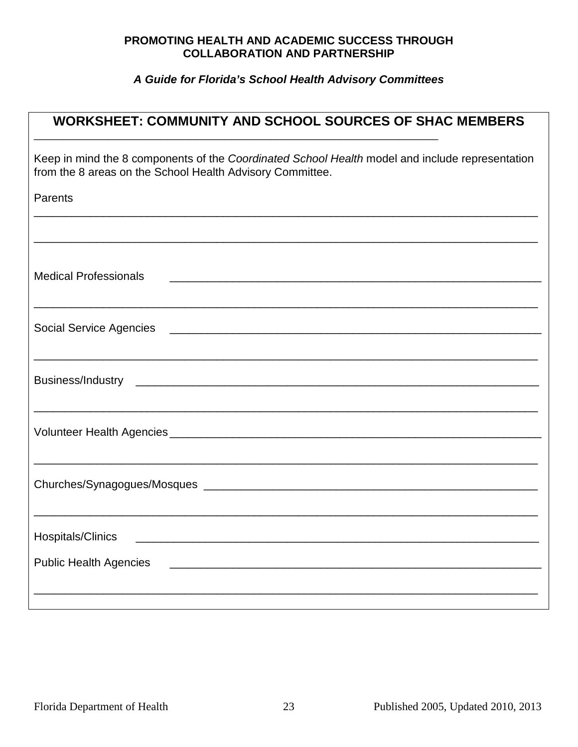| <b>WORKSHEET: COMMUNITY AND SCHOOL SOURCES OF SHAC MEMBERS</b>                                                                                               |  |  |  |  |
|--------------------------------------------------------------------------------------------------------------------------------------------------------------|--|--|--|--|
| Keep in mind the 8 components of the Coordinated School Health model and include representation<br>from the 8 areas on the School Health Advisory Committee. |  |  |  |  |
| Parents<br>,我们也不能在这里的人,我们也不能在这里的人,我们也不能在这里的人,我们也不能在这里的人,我们也不能在这里的人,我们也不能在这里的人,我们也不能在这里的人,我们                                                                  |  |  |  |  |
|                                                                                                                                                              |  |  |  |  |
| <b>Medical Professionals</b>                                                                                                                                 |  |  |  |  |
|                                                                                                                                                              |  |  |  |  |
|                                                                                                                                                              |  |  |  |  |
|                                                                                                                                                              |  |  |  |  |
|                                                                                                                                                              |  |  |  |  |
| Hospitals/Clinics                                                                                                                                            |  |  |  |  |
| <b>Public Health Agencies</b><br><u> 1989 - John Stein, Amerikaansk politiker († 1908)</u>                                                                   |  |  |  |  |
|                                                                                                                                                              |  |  |  |  |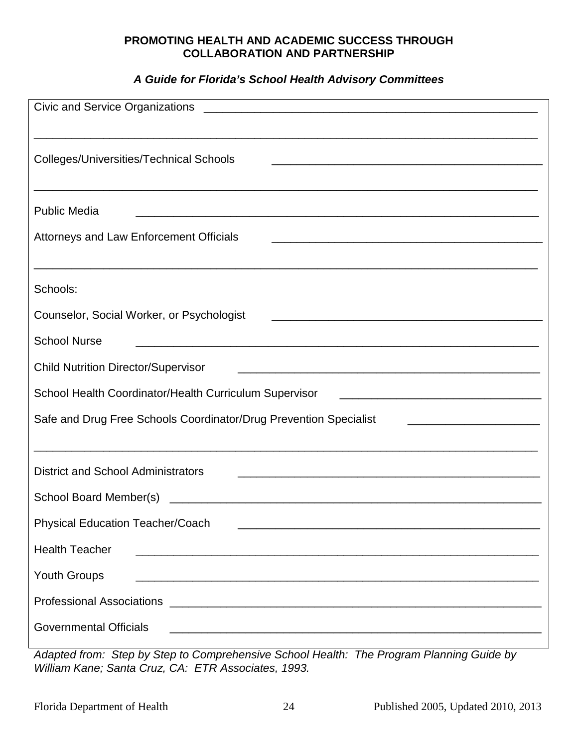#### **A Guide for Florida's School Health Advisory Committees**

| Civic and Service Organizations                                                                                                                                         |
|-------------------------------------------------------------------------------------------------------------------------------------------------------------------------|
| <b>Colleges/Universities/Technical Schools</b><br><u> 1989 - Johann John Stone, markin bashkar (b. 1989)</u>                                                            |
| <b>Public Media</b><br><u> 1989 - Johann Harry Harry Harry Harry Harry Harry Harry Harry Harry Harry Harry Harry Harry Harry Harry Harry</u>                            |
| <b>Attorneys and Law Enforcement Officials</b><br><u> 1989 - Johann Stoff, deutscher Stoff, der Stoff, der Stoff, der Stoff, der Stoff, der Stoff, der Stoff, der S</u> |
| Schools:                                                                                                                                                                |
| Counselor, Social Worker, or Psychologist<br><u> 1989 - Johann Barn, mars ann an t-Amhain an t-Amhain an t-Amhain an t-Amhain an t-Amhain an t-Amhain an t-Amh</u>      |
| <b>School Nurse</b>                                                                                                                                                     |
| <b>Child Nutrition Director/Supervisor</b><br><u> 1980 - Johann John Stone, mars and de film and de film and de film and de film and de film and de film and de</u>     |
| School Health Coordinator/Health Curriculum Supervisor                                                                                                                  |
| Safe and Drug Free Schools Coordinator/Drug Prevention Specialist                                                                                                       |
| <b>District and School Administrators</b>                                                                                                                               |
| School Board Member(s)                                                                                                                                                  |
| <b>Physical Education Teacher/Coach</b>                                                                                                                                 |
| <b>Health Teacher</b>                                                                                                                                                   |
| <b>Youth Groups</b>                                                                                                                                                     |
|                                                                                                                                                                         |
| <b>Governmental Officials</b>                                                                                                                                           |

Adapted from: Step by Step to Comprehensive School Health: The Program Planning Guide by William Kane; Santa Cruz, CA: ETR Associates, 1993.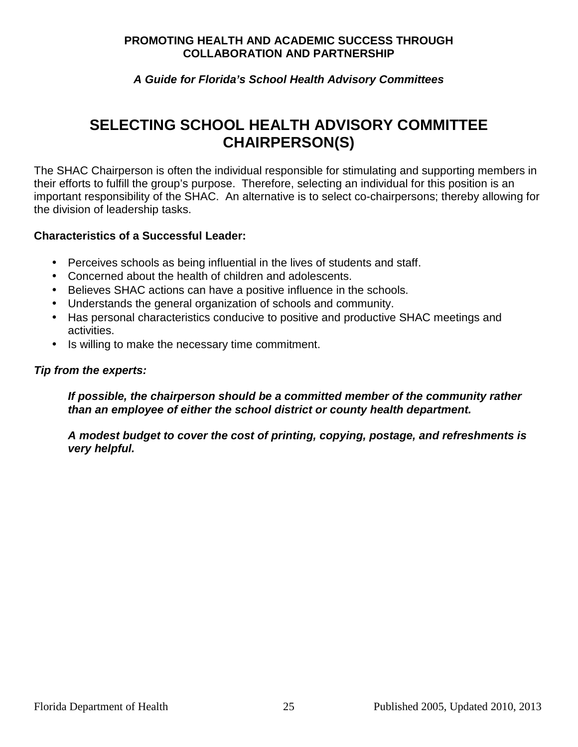#### **A Guide for Florida's School Health Advisory Committees**

# **SELECTING SCHOOL HEALTH ADVISORY COMMITTEE CHAIRPERSON(S)**

The SHAC Chairperson is often the individual responsible for stimulating and supporting members in their efforts to fulfill the group's purpose. Therefore, selecting an individual for this position is an important responsibility of the SHAC. An alternative is to select co-chairpersons; thereby allowing for the division of leadership tasks.

#### **Characteristics of a Successful Leader:**

- Perceives schools as being influential in the lives of students and staff.
- Concerned about the health of children and adolescents.
- Believes SHAC actions can have a positive influence in the schools.
- Understands the general organization of schools and community.
- Has personal characteristics conducive to positive and productive SHAC meetings and activities.
- Is willing to make the necessary time commitment.

#### **Tip from the experts:**

**If possible, the chairperson should be a committed member of the community rather than an employee of either the school district or county health department.** 

**A modest budget to cover the cost of printing, copying, postage, and refreshments is very helpful.**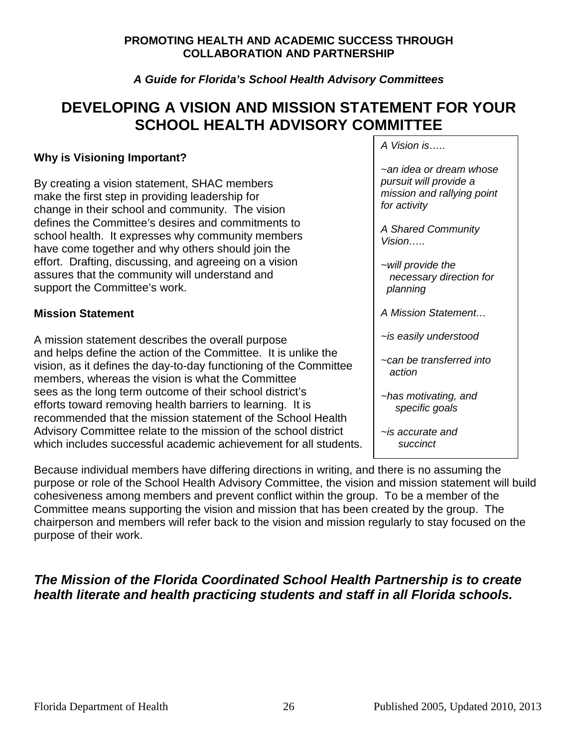#### **A Guide for Florida's School Health Advisory Committees**

## **DEVELOPING A VISION AND MISSION STATEMENT FOR YOUR SCHOOL HEALTH ADVISORY COMMITTEE**

#### **Why is Visioning Important?**

By creating a vision statement, SHAC members make the first step in providing leadership for change in their school and community. The vision defines the Committee's desires and commitments to school health. It expresses why community members have come together and why others should join the effort. Drafting, discussing, and agreeing on a vision assures that the community will understand and support the Committee's work.

#### **Mission Statement**

A mission statement describes the overall purpose and helps define the action of the Committee. It is unlike the vision, as it defines the day-to-day functioning of the Committee members, whereas the vision is what the Committee sees as the long term outcome of their school district's efforts toward removing health barriers to learning. It is recommended that the mission statement of the School Health Advisory Committee relate to the mission of the school district which includes successful academic achievement for all students. A Vision is…..

~an idea or dream whose pursuit will provide a mission and rallying point for activity

A Shared Community Vision…..

- ~will provide the necessary direction for planning
- A Mission Statement…
- ~is easily understood
- ~can be transferred into action
- ~has motivating, and specific goals
- ~is accurate and succinct

Because individual members have differing directions in writing, and there is no assuming the purpose or role of the School Health Advisory Committee, the vision and mission statement will build cohesiveness among members and prevent conflict within the group. To be a member of the Committee means supporting the vision and mission that has been created by the group. The chairperson and members will refer back to the vision and mission regularly to stay focused on the purpose of their work.

## **The Mission of the Florida Coordinated School Health Partnership is to create health literate and health practicing students and staff in all Florida schools.**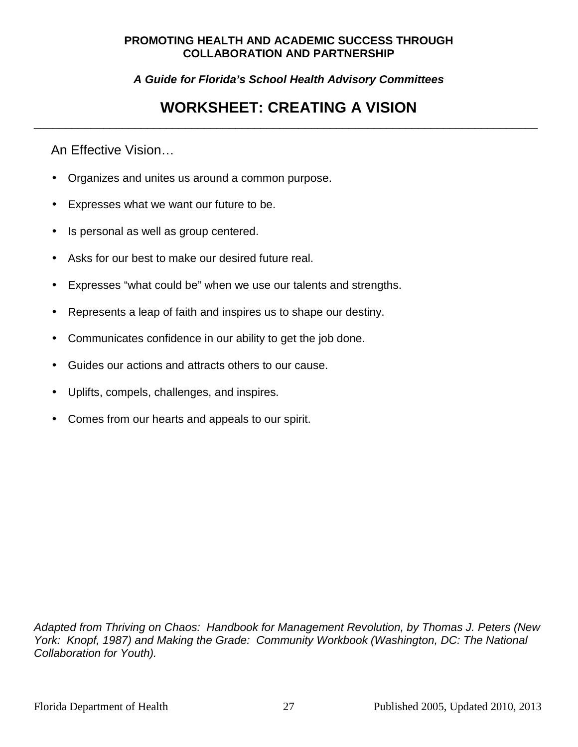**A Guide for Florida's School Health Advisory Committees** 

## **WORKSHEET: CREATING A VISION**  \_\_\_\_\_\_\_\_\_\_\_\_\_\_\_\_\_\_\_\_\_\_\_\_\_\_\_\_\_\_\_\_\_\_\_\_\_\_\_\_\_\_\_\_\_\_\_\_\_\_\_\_\_\_\_\_\_\_\_\_\_\_\_\_\_\_\_\_\_\_\_\_\_\_\_\_\_\_\_\_

An Effective Vision…

- Organizes and unites us around a common purpose.
- Expresses what we want our future to be.
- Is personal as well as group centered.
- Asks for our best to make our desired future real.
- Expresses "what could be" when we use our talents and strengths.
- Represents a leap of faith and inspires us to shape our destiny.
- Communicates confidence in our ability to get the job done.
- Guides our actions and attracts others to our cause.
- Uplifts, compels, challenges, and inspires.
- Comes from our hearts and appeals to our spirit.

Adapted from Thriving on Chaos: Handbook for Management Revolution, by Thomas J. Peters (New York: Knopf, 1987) and Making the Grade: Community Workbook (Washington, DC: The National Collaboration for Youth).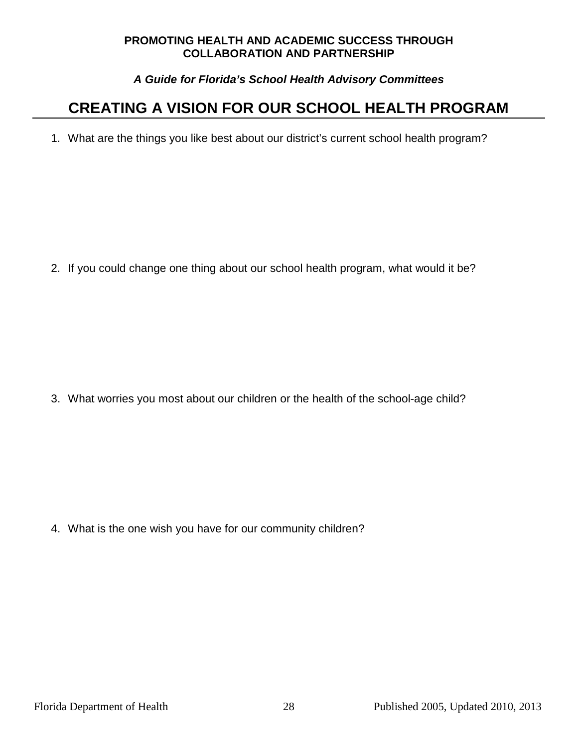#### **A Guide for Florida's School Health Advisory Committees**

# **CREATING A VISION FOR OUR SCHOOL HEALTH PROGRAM**

1. What are the things you like best about our district's current school health program?

2. If you could change one thing about our school health program, what would it be?

3. What worries you most about our children or the health of the school-age child?

4. What is the one wish you have for our community children?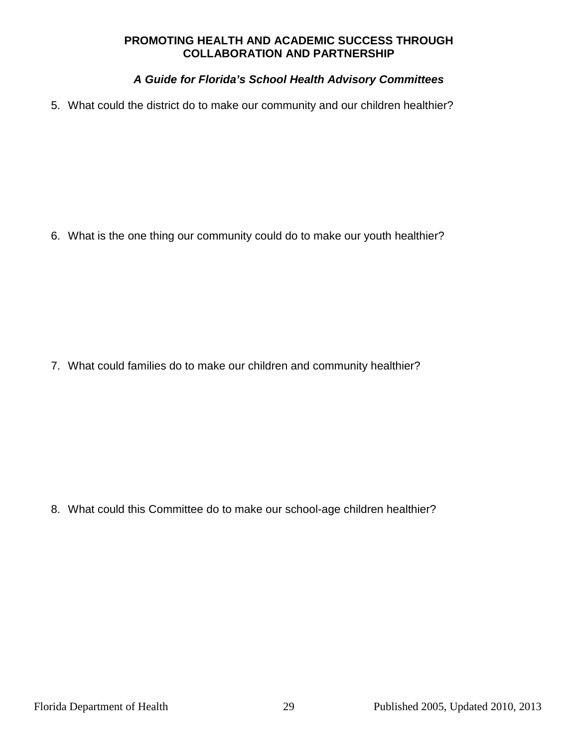#### **A Guide for Florida's School Health Advisory Committees**

5. What could the district do to make our community and our children healthier?

6. What is the one thing our community could do to make our youth healthier?

7. What could families do to make our children and community healthier?

8. What could this Committee do to make our school-age children healthier?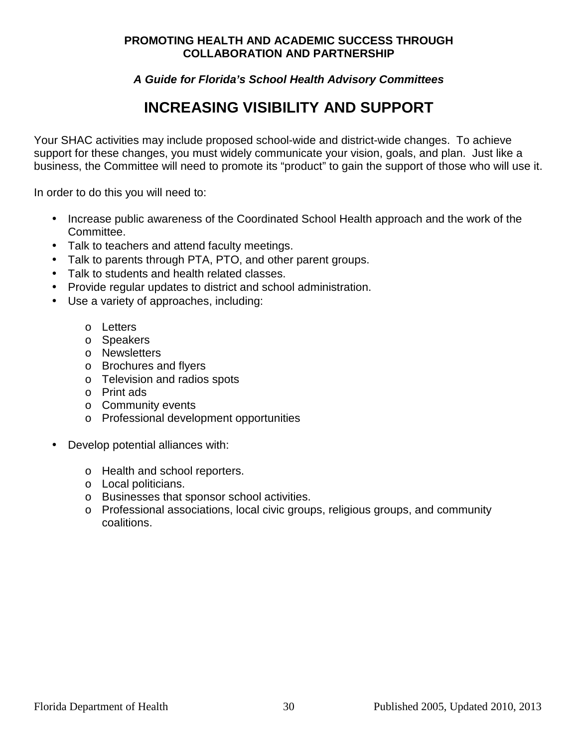#### **A Guide for Florida's School Health Advisory Committees**

# **INCREASING VISIBILITY AND SUPPORT**

Your SHAC activities may include proposed school-wide and district-wide changes. To achieve support for these changes, you must widely communicate your vision, goals, and plan. Just like a business, the Committee will need to promote its "product" to gain the support of those who will use it.

In order to do this you will need to:

- Increase public awareness of the Coordinated School Health approach and the work of the Committee.
- Talk to teachers and attend faculty meetings.
- Talk to parents through PTA, PTO, and other parent groups.
- Talk to students and health related classes.
- Provide regular updates to district and school administration.
- Use a variety of approaches, including:
	- o Letters
	- o Speakers
	- o Newsletters
	- o Brochures and flyers
	- o Television and radios spots
	- o Print ads
	- o Community events
	- o Professional development opportunities
- Develop potential alliances with:
	- o Health and school reporters.
	- o Local politicians.
	- o Businesses that sponsor school activities.
	- o Professional associations, local civic groups, religious groups, and community coalitions.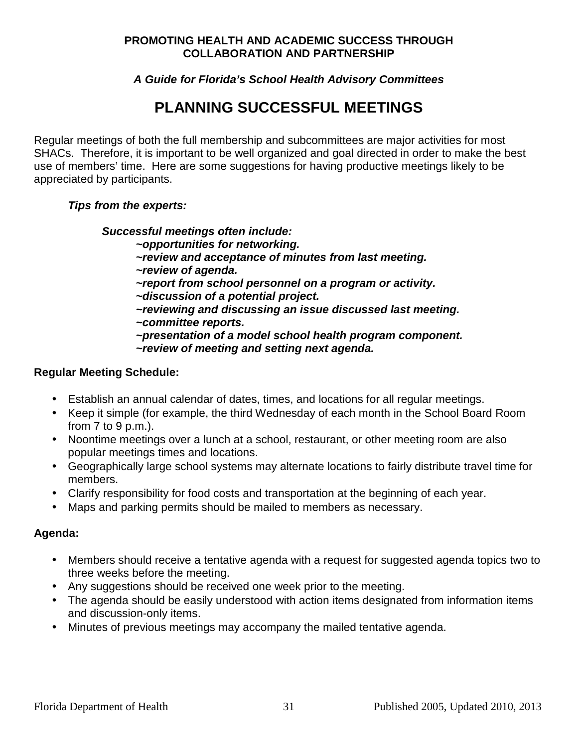#### **A Guide for Florida's School Health Advisory Committees**

# **PLANNING SUCCESSFUL MEETINGS**

Regular meetings of both the full membership and subcommittees are major activities for most SHACs. Therefore, it is important to be well organized and goal directed in order to make the best use of members' time. Here are some suggestions for having productive meetings likely to be appreciated by participants.

#### **Tips from the experts:**

#### **Successful meetings often include:**

- **~opportunities for networking.** 
	- **~review and acceptance of minutes from last meeting.**
	- **~review of agenda.**
	- **~report from school personnel on a program or activity.**
	- **~discussion of a potential project.**
	- **~reviewing and discussing an issue discussed last meeting. ~committee reports.**
	- **~presentation of a model school health program component. ~review of meeting and setting next agenda.**

#### **Regular Meeting Schedule:**

- Establish an annual calendar of dates, times, and locations for all regular meetings.
- Keep it simple (for example, the third Wednesday of each month in the School Board Room from 7 to 9 p.m.).
- Noontime meetings over a lunch at a school, restaurant, or other meeting room are also popular meetings times and locations.
- Geographically large school systems may alternate locations to fairly distribute travel time for members.
- Clarify responsibility for food costs and transportation at the beginning of each year.
- Maps and parking permits should be mailed to members as necessary.

#### **Agenda:**

- Members should receive a tentative agenda with a request for suggested agenda topics two to three weeks before the meeting.
- Any suggestions should be received one week prior to the meeting.
- The agenda should be easily understood with action items designated from information items and discussion-only items.
- Minutes of previous meetings may accompany the mailed tentative agenda.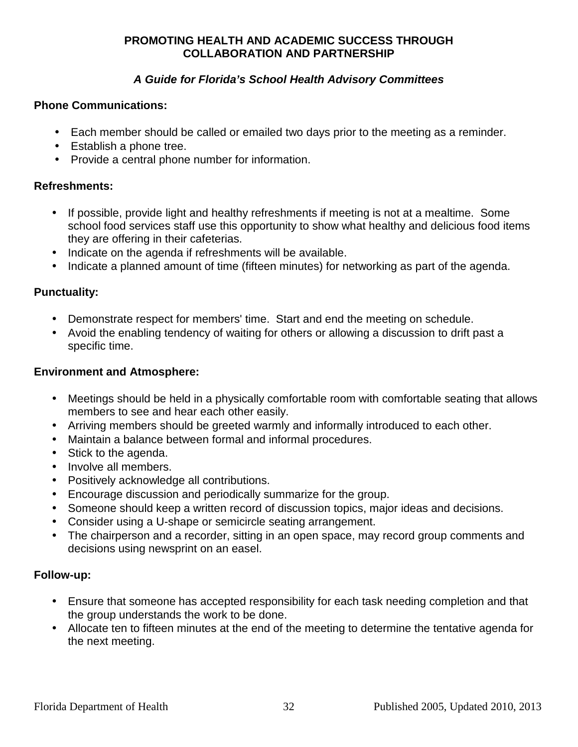#### **A Guide for Florida's School Health Advisory Committees**

#### **Phone Communications:**

- Each member should be called or emailed two days prior to the meeting as a reminder.
- Establish a phone tree.
- Provide a central phone number for information.

#### **Refreshments:**

- If possible, provide light and healthy refreshments if meeting is not at a mealtime. Some school food services staff use this opportunity to show what healthy and delicious food items they are offering in their cafeterias.
- Indicate on the agenda if refreshments will be available.
- Indicate a planned amount of time (fifteen minutes) for networking as part of the agenda.

#### **Punctuality:**

- Demonstrate respect for members' time. Start and end the meeting on schedule.
- Avoid the enabling tendency of waiting for others or allowing a discussion to drift past a specific time.

#### **Environment and Atmosphere:**

- Meetings should be held in a physically comfortable room with comfortable seating that allows members to see and hear each other easily.
- Arriving members should be greeted warmly and informally introduced to each other.
- Maintain a balance between formal and informal procedures.
- Stick to the agenda.
- Involve all members.
- Positively acknowledge all contributions.
- Encourage discussion and periodically summarize for the group.
- Someone should keep a written record of discussion topics, major ideas and decisions.
- Consider using a U-shape or semicircle seating arrangement.
- The chairperson and a recorder, sitting in an open space, may record group comments and decisions using newsprint on an easel.

#### **Follow-up:**

- Ensure that someone has accepted responsibility for each task needing completion and that the group understands the work to be done.
- Allocate ten to fifteen minutes at the end of the meeting to determine the tentative agenda for the next meeting.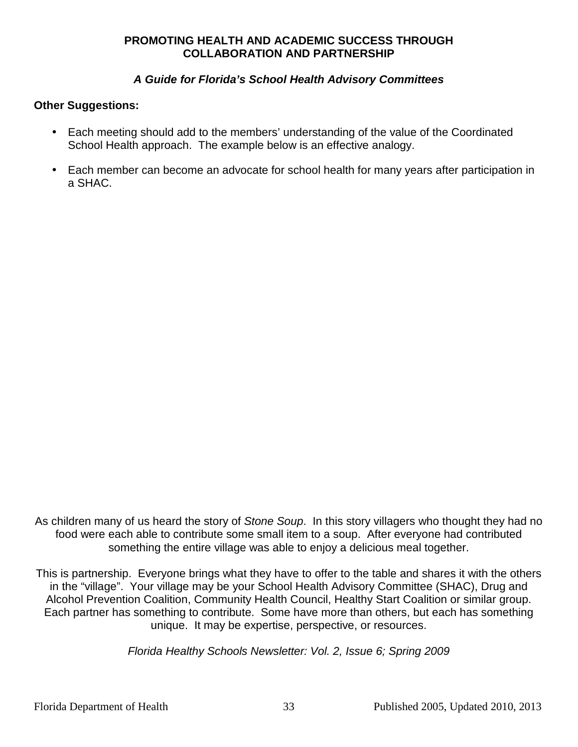#### **A Guide for Florida's School Health Advisory Committees**

#### **Other Suggestions:**

- Each meeting should add to the members' understanding of the value of the Coordinated School Health approach. The example below is an effective analogy.
- Each member can become an advocate for school health for many years after participation in a SHAC.

As children many of us heard the story of Stone Soup. In this story villagers who thought they had no food were each able to contribute some small item to a soup. After everyone had contributed something the entire village was able to enjoy a delicious meal together.

This is partnership. Everyone brings what they have to offer to the table and shares it with the others in the "village". Your village may be your School Health Advisory Committee (SHAC), Drug and Alcohol Prevention Coalition, Community Health Council, Healthy Start Coalition or similar group. Each partner has something to contribute. Some have more than others, but each has something unique. It may be expertise, perspective, or resources.

Florida Healthy Schools Newsletter: Vol. 2, Issue 6; Spring 2009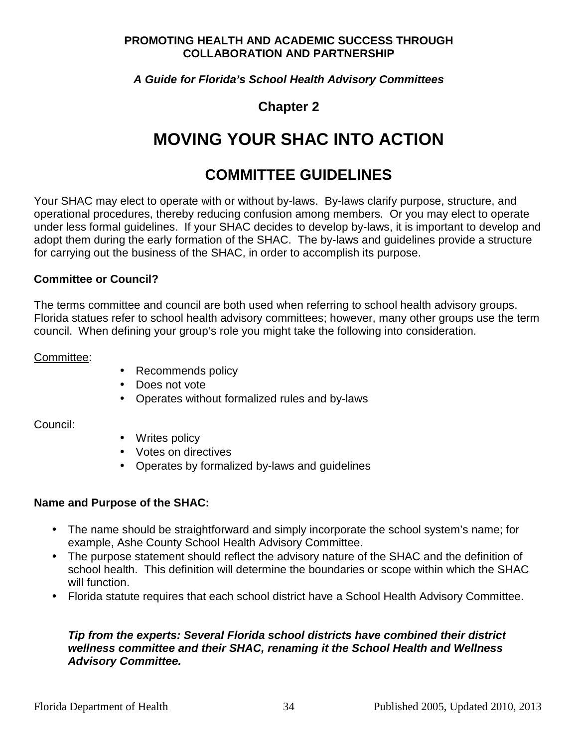#### **A Guide for Florida's School Health Advisory Committees**

## **Chapter 2**

# **MOVING YOUR SHAC INTO ACTION**

## **COMMITTEE GUIDELINES**

Your SHAC may elect to operate with or without by-laws. By-laws clarify purpose, structure, and operational procedures, thereby reducing confusion among members. Or you may elect to operate under less formal guidelines. If your SHAC decides to develop by-laws, it is important to develop and adopt them during the early formation of the SHAC. The by-laws and guidelines provide a structure for carrying out the business of the SHAC, in order to accomplish its purpose.

#### **Committee or Council?**

The terms committee and council are both used when referring to school health advisory groups. Florida statues refer to school health advisory committees; however, many other groups use the term council. When defining your group's role you might take the following into consideration.

#### Committee:

- Recommends policy
- Does not vote
- Operates without formalized rules and by-laws

#### Council:

- Writes policy
- Votes on directives
- Operates by formalized by-laws and guidelines

#### **Name and Purpose of the SHAC:**

- The name should be straightforward and simply incorporate the school system's name; for example, Ashe County School Health Advisory Committee.
- The purpose statement should reflect the advisory nature of the SHAC and the definition of school health. This definition will determine the boundaries or scope within which the SHAC will function.
- Florida statute requires that each school district have a School Health Advisory Committee.

#### **Tip from the experts: Several Florida school districts have combined their district wellness committee and their SHAC, renaming it the School Health and Wellness Advisory Committee.**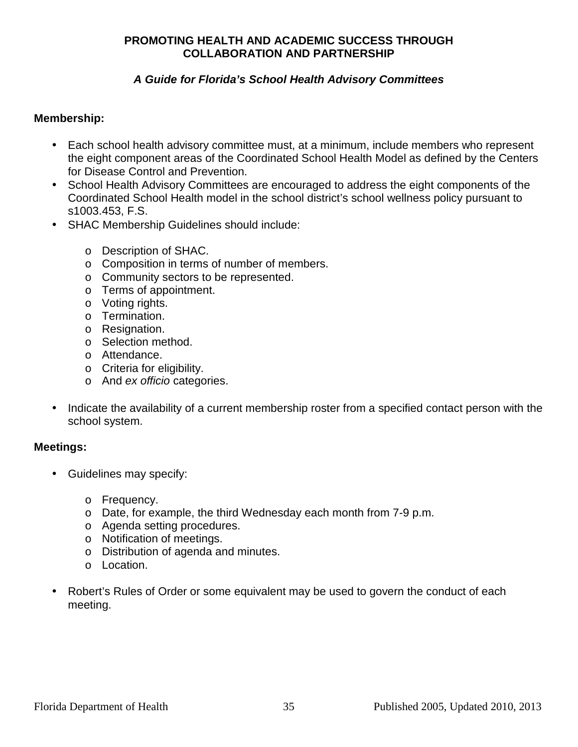#### **A Guide for Florida's School Health Advisory Committees**

#### **Membership:**

- Each school health advisory committee must, at a minimum, include members who represent the eight component areas of the Coordinated School Health Model as defined by the Centers for Disease Control and Prevention.
- School Health Advisory Committees are encouraged to address the eight components of the Coordinated School Health model in the school district's school wellness policy pursuant to s1003.453, F.S.
- SHAC Membership Guidelines should include:
	- o Description of SHAC.
	- o Composition in terms of number of members.
	- o Community sectors to be represented.
	- o Terms of appointment.
	- o Voting rights.
	- o Termination.
	- o Resignation.
	- o Selection method.
	- o Attendance.
	- o Criteria for eligibility.
	- o And ex officio categories.
- Indicate the availability of a current membership roster from a specified contact person with the school system.

#### **Meetings:**

- Guidelines may specify:
	- o Frequency.
	- o Date, for example, the third Wednesday each month from 7-9 p.m.
	- o Agenda setting procedures.
	- o Notification of meetings.
	- o Distribution of agenda and minutes.
	- o Location.
- Robert's Rules of Order or some equivalent may be used to govern the conduct of each meeting.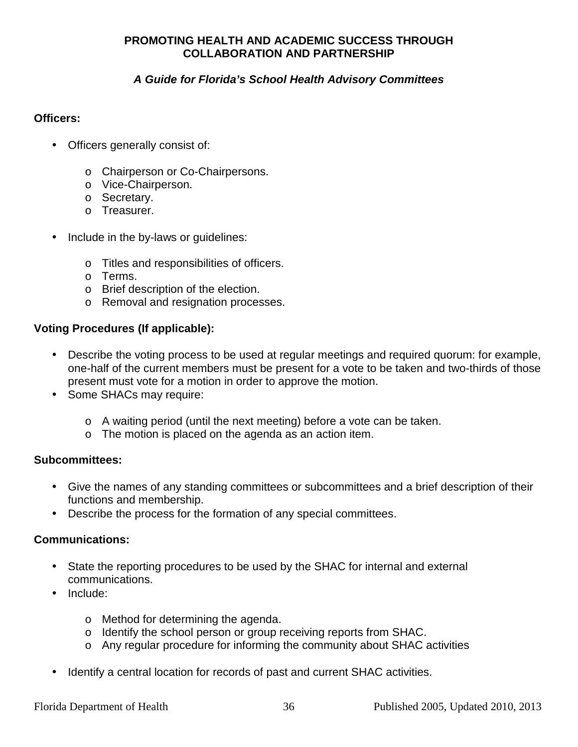### **A Guide for Florida's School Health Advisory Committees**

#### **Officers:**

- Officers generally consist of:
	- o Chairperson or Co-Chairpersons.
	- o Vice-Chairperson.
	- o Secretary.
	- o Treasurer.
- Include in the by-laws or guidelines:
	- o Titles and responsibilities of officers.
	- o Terms.
	- o Brief description of the election.
	- o Removal and resignation processes.

#### **Voting Procedures (If applicable):**

- Describe the voting process to be used at regular meetings and required quorum: for example, one-half of the current members must be present for a vote to be taken and two-thirds of those present must vote for a motion in order to approve the motion.
- Some SHACs may require:
	- o A waiting period (until the next meeting) before a vote can be taken.
	- o The motion is placed on the agenda as an action item.

#### **Subcommittees:**

- Give the names of any standing committees or subcommittees and a brief description of their functions and membership.
- Describe the process for the formation of any special committees.

#### **Communications:**

- State the reporting procedures to be used by the SHAC for internal and external communications.
- Include:
	- o Method for determining the agenda.
	- o Identify the school person or group receiving reports from SHAC.
	- o Any regular procedure for informing the community about SHAC activities
- Identify a central location for records of past and current SHAC activities.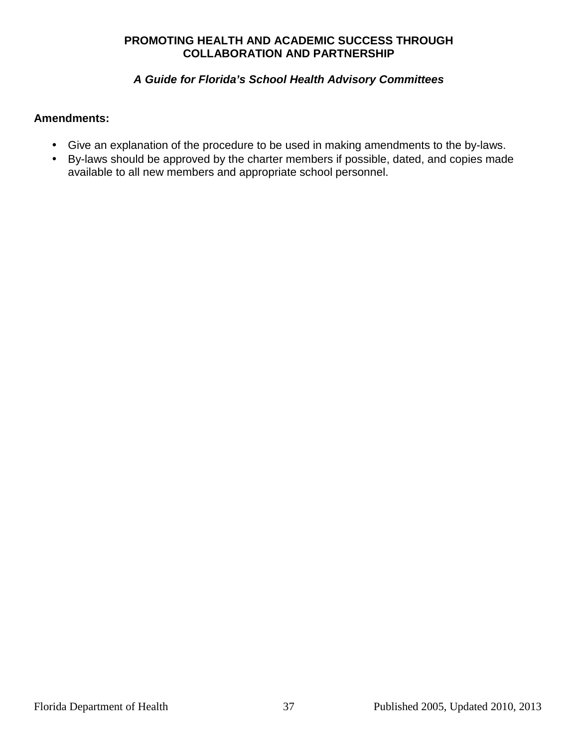### **A Guide for Florida's School Health Advisory Committees**

#### **Amendments:**

- Give an explanation of the procedure to be used in making amendments to the by-laws.
- By-laws should be approved by the charter members if possible, dated, and copies made available to all new members and appropriate school personnel.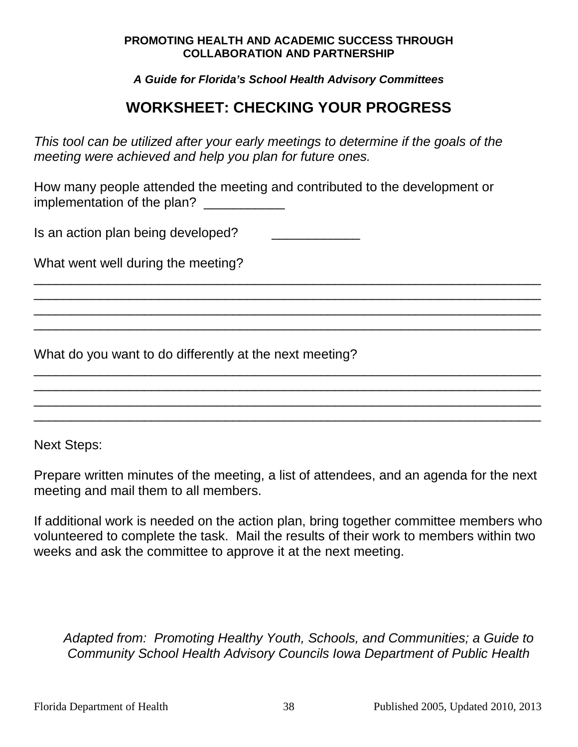**A Guide for Florida's School Health Advisory Committees** 

# **WORKSHEET: CHECKING YOUR PROGRESS**

\_\_\_\_\_\_\_\_\_\_\_\_\_\_\_\_\_\_\_\_\_\_\_\_\_\_\_\_\_\_\_\_\_\_\_\_\_\_\_\_\_\_\_\_\_\_\_\_\_\_\_\_\_\_\_\_\_\_\_\_\_\_\_\_\_\_\_\_\_ \_\_\_\_\_\_\_\_\_\_\_\_\_\_\_\_\_\_\_\_\_\_\_\_\_\_\_\_\_\_\_\_\_\_\_\_\_\_\_\_\_\_\_\_\_\_\_\_\_\_\_\_\_\_\_\_\_\_\_\_\_\_\_\_\_\_\_\_\_ \_\_\_\_\_\_\_\_\_\_\_\_\_\_\_\_\_\_\_\_\_\_\_\_\_\_\_\_\_\_\_\_\_\_\_\_\_\_\_\_\_\_\_\_\_\_\_\_\_\_\_\_\_\_\_\_\_\_\_\_\_\_\_\_\_\_\_\_\_ \_\_\_\_\_\_\_\_\_\_\_\_\_\_\_\_\_\_\_\_\_\_\_\_\_\_\_\_\_\_\_\_\_\_\_\_\_\_\_\_\_\_\_\_\_\_\_\_\_\_\_\_\_\_\_\_\_\_\_\_\_\_\_\_\_\_\_\_\_

\_\_\_\_\_\_\_\_\_\_\_\_\_\_\_\_\_\_\_\_\_\_\_\_\_\_\_\_\_\_\_\_\_\_\_\_\_\_\_\_\_\_\_\_\_\_\_\_\_\_\_\_\_\_\_\_\_\_\_\_\_\_\_\_\_\_\_\_\_ \_\_\_\_\_\_\_\_\_\_\_\_\_\_\_\_\_\_\_\_\_\_\_\_\_\_\_\_\_\_\_\_\_\_\_\_\_\_\_\_\_\_\_\_\_\_\_\_\_\_\_\_\_\_\_\_\_\_\_\_\_\_\_\_\_\_\_\_\_ \_\_\_\_\_\_\_\_\_\_\_\_\_\_\_\_\_\_\_\_\_\_\_\_\_\_\_\_\_\_\_\_\_\_\_\_\_\_\_\_\_\_\_\_\_\_\_\_\_\_\_\_\_\_\_\_\_\_\_\_\_\_\_\_\_\_\_\_\_ \_\_\_\_\_\_\_\_\_\_\_\_\_\_\_\_\_\_\_\_\_\_\_\_\_\_\_\_\_\_\_\_\_\_\_\_\_\_\_\_\_\_\_\_\_\_\_\_\_\_\_\_\_\_\_\_\_\_\_\_\_\_\_\_\_\_\_\_\_

This tool can be utilized after your early meetings to determine if the goals of the meeting were achieved and help you plan for future ones.

How many people attended the meeting and contributed to the development or implementation of the plan?

Is an action plan being developed?

What went well during the meeting?

What do you want to do differently at the next meeting?

Next Steps:

Prepare written minutes of the meeting, a list of attendees, and an agenda for the next meeting and mail them to all members.

If additional work is needed on the action plan, bring together committee members who volunteered to complete the task. Mail the results of their work to members within two weeks and ask the committee to approve it at the next meeting.

Adapted from: Promoting Healthy Youth, Schools, and Communities; a Guide to Community School Health Advisory Councils Iowa Department of Public Health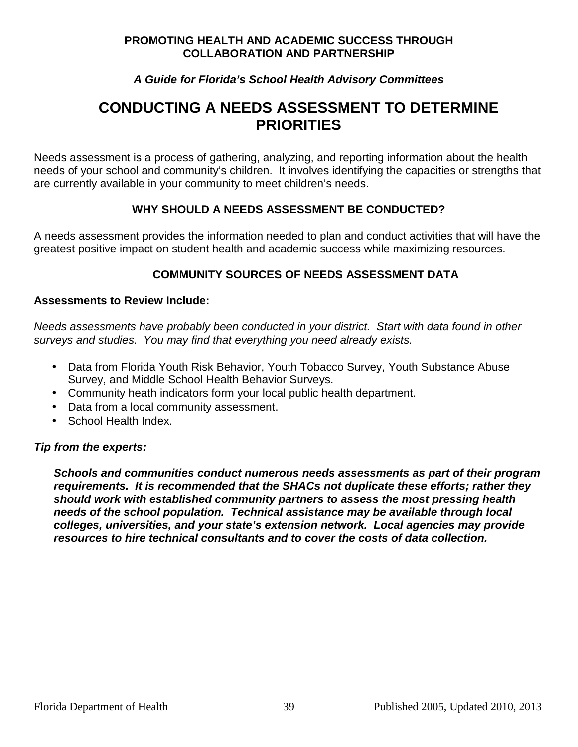#### **A Guide for Florida's School Health Advisory Committees**

## **CONDUCTING A NEEDS ASSESSMENT TO DETERMINE PRIORITIES**

Needs assessment is a process of gathering, analyzing, and reporting information about the health needs of your school and community's children. It involves identifying the capacities or strengths that are currently available in your community to meet children's needs.

#### WHY SHOULD A NEEDS ASSESSMENT BE CONDUCTED?

A needs assessment provides the information needed to plan and conduct activities that will have the greatest positive impact on student health and academic success while maximizing resources.

#### **COMMUNITY SOURCES OF NEEDS ASSESSMENT DATA**

#### **Assessments to Review Include:**

Needs assessments have probably been conducted in your district. Start with data found in other surveys and studies. You may find that everything you need already exists.

- Data from Florida Youth Risk Behavior, Youth Tobacco Survey, Youth Substance Abuse Survey, and Middle School Health Behavior Surveys.
- Community heath indicators form your local public health department.
- Data from a local community assessment.
- School Health Index.

#### **Tip from the experts:**

**Schools and communities conduct numerous needs assessments as part of their program requirements. It is recommended that the SHACs not duplicate these efforts; rather they should work with established community partners to assess the most pressing health needs of the school population. Technical assistance may be available through local colleges, universities, and your state's extension network. Local agencies may provide resources to hire technical consultants and to cover the costs of data collection.**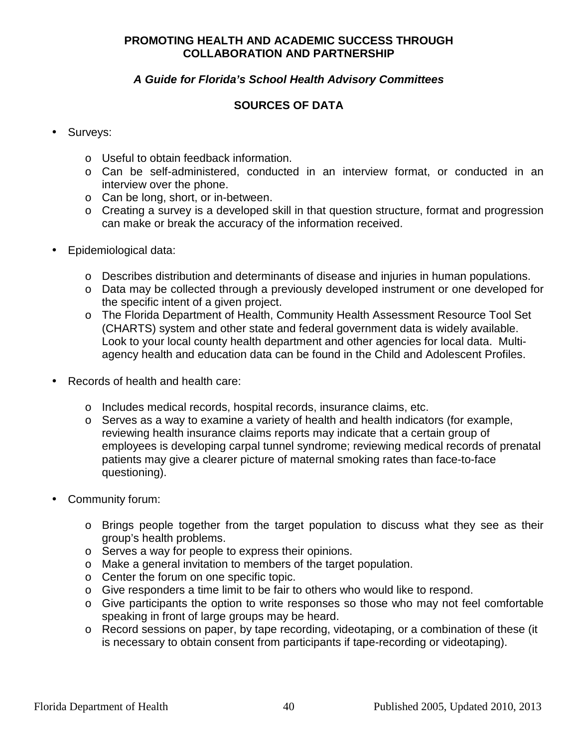#### **A Guide for Florida's School Health Advisory Committees**

#### **SOURCES OF DATA**

#### Surveys:

- o Useful to obtain feedback information.
- o Can be self-administered, conducted in an interview format, or conducted in an interview over the phone.
- o Can be long, short, or in-between.
- o Creating a survey is a developed skill in that question structure, format and progression can make or break the accuracy of the information received.
- Epidemiological data:
	- o Describes distribution and determinants of disease and injuries in human populations.
	- o Data may be collected through a previously developed instrument or one developed for the specific intent of a given project.
	- o The Florida Department of Health, Community Health Assessment Resource Tool Set (CHARTS) system and other state and federal government data is widely available. Look to your local county health department and other agencies for local data. Multiagency health and education data can be found in the Child and Adolescent Profiles.
- Records of health and health care:
	- o Includes medical records, hospital records, insurance claims, etc.
	- o Serves as a way to examine a variety of health and health indicators (for example, reviewing health insurance claims reports may indicate that a certain group of employees is developing carpal tunnel syndrome; reviewing medical records of prenatal patients may give a clearer picture of maternal smoking rates than face-to-face questioning).
- Community forum:
	- o Brings people together from the target population to discuss what they see as their group's health problems.
	- o Serves a way for people to express their opinions.
	- o Make a general invitation to members of the target population.
	- o Center the forum on one specific topic.
	- o Give responders a time limit to be fair to others who would like to respond.
	- o Give participants the option to write responses so those who may not feel comfortable speaking in front of large groups may be heard.
	- o Record sessions on paper, by tape recording, videotaping, or a combination of these (it is necessary to obtain consent from participants if tape-recording or videotaping).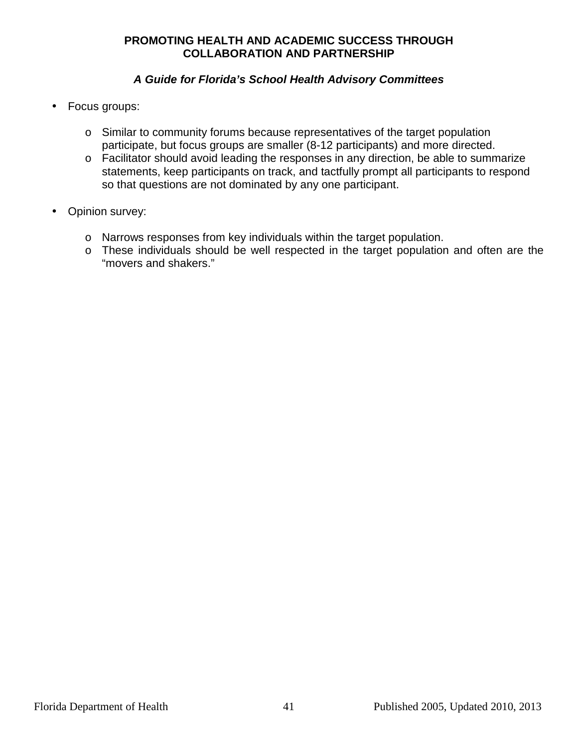- Focus groups:
	- o Similar to community forums because representatives of the target population participate, but focus groups are smaller (8-12 participants) and more directed.
	- o Facilitator should avoid leading the responses in any direction, be able to summarize statements, keep participants on track, and tactfully prompt all participants to respond so that questions are not dominated by any one participant.
- Opinion survey:
	- o Narrows responses from key individuals within the target population.
	- o These individuals should be well respected in the target population and often are the "movers and shakers."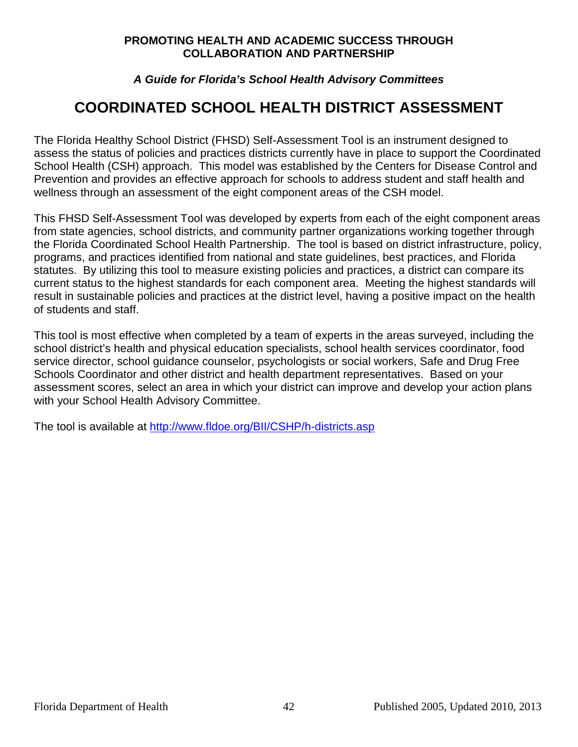#### **A Guide for Florida's School Health Advisory Committees**

# **COORDINATED SCHOOL HEALTH DISTRICT ASSESSMENT**

The Florida Healthy School District (FHSD) Self-Assessment Tool is an instrument designed to assess the status of policies and practices districts currently have in place to support the Coordinated School Health (CSH) approach. This model was established by the Centers for Disease Control and Prevention and provides an effective approach for schools to address student and staff health and wellness through an assessment of the eight component areas of the CSH model.

This FHSD Self-Assessment Tool was developed by experts from each of the eight component areas from state agencies, school districts, and community partner organizations working together through the Florida Coordinated School Health Partnership. The tool is based on district infrastructure, policy, programs, and practices identified from national and state guidelines, best practices, and Florida statutes. By utilizing this tool to measure existing policies and practices, a district can compare its current status to the highest standards for each component area. Meeting the highest standards will result in sustainable policies and practices at the district level, having a positive impact on the health of students and staff.

This tool is most effective when completed by a team of experts in the areas surveyed, including the school district's health and physical education specialists, school health services coordinator, food service director, school guidance counselor, psychologists or social workers, Safe and Drug Free Schools Coordinator and other district and health department representatives. Based on your assessment scores, select an area in which your district can improve and develop your action plans with your School Health Advisory Committee.

The tool is available at http://www.fldoe.org/BII/CSHP/h-districts.asp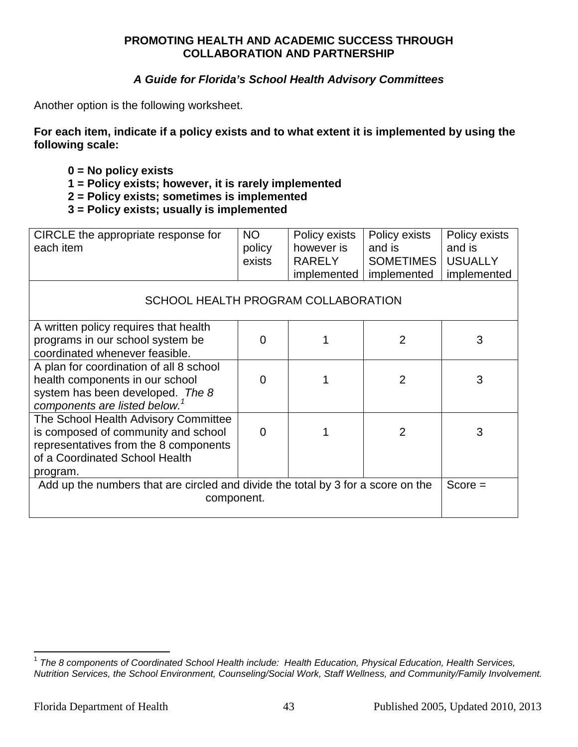#### **A Guide for Florida's School Health Advisory Committees**

Another option is the following worksheet.

**For each item, indicate if a policy exists and to what extent it is implemented by using the following scale:** 

- **0 = No policy exists**
- **1 = Policy exists; however, it is rarely implemented**
- **2 = Policy exists; sometimes is implemented**
- **3 = Policy exists; usually is implemented**

| CIRCLE the appropriate response for<br>each item                                                                                                                   | NO.<br>policy<br>exists | Policy exists<br>however is<br><b>RARELY</b><br>implemented | Policy exists<br>and is<br>SOMETIMES  <br>implemented | Policy exists<br>and is<br><b>USUALLY</b><br>implemented |
|--------------------------------------------------------------------------------------------------------------------------------------------------------------------|-------------------------|-------------------------------------------------------------|-------------------------------------------------------|----------------------------------------------------------|
| SCHOOL HEALTH PROGRAM COLLABORATION                                                                                                                                |                         |                                                             |                                                       |                                                          |
| A written policy requires that health<br>programs in our school system be<br>coordinated whenever feasible.                                                        | ∩                       |                                                             | 2                                                     | 3                                                        |
| A plan for coordination of all 8 school<br>health components in our school<br>system has been developed. The 8<br>components are listed below. <sup>1</sup>        |                         |                                                             | 2                                                     | 3                                                        |
| The School Health Advisory Committee<br>is composed of community and school<br>representatives from the 8 components<br>of a Coordinated School Health<br>program. | $\Omega$                |                                                             | $\overline{2}$                                        | 3                                                        |
| Add up the numbers that are circled and divide the total by 3 for a score on the<br>component.                                                                     |                         |                                                             | $Score =$                                             |                                                          |

 1 The 8 components of Coordinated School Health include: Health Education, Physical Education, Health Services, Nutrition Services, the School Environment, Counseling/Social Work, Staff Wellness, and Community/Family Involvement.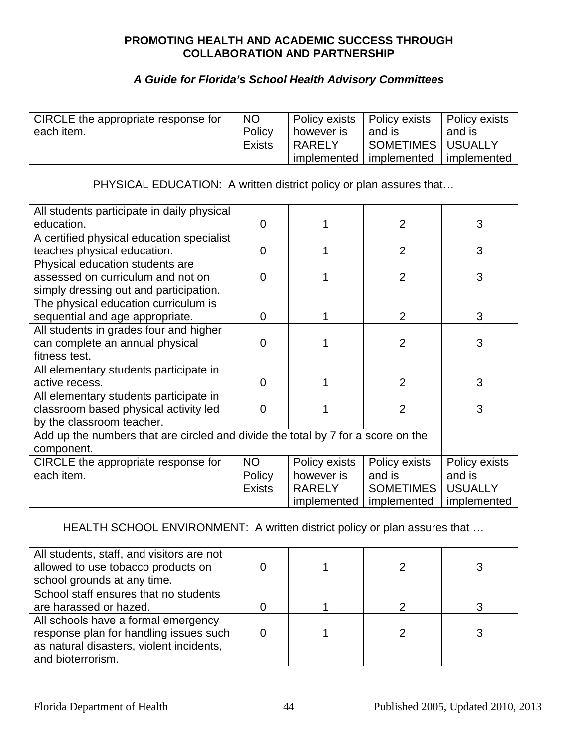| CIRCLE the appropriate response for<br>each item.                                                                                              | <b>NO</b><br>Policy<br><b>Exists</b> | Policy exists<br>however is<br><b>RARELY</b>                | Policy exists<br>and is<br><b>SOMETIMES</b>                | Policy exists<br>and is<br><b>USUALLY</b>                |
|------------------------------------------------------------------------------------------------------------------------------------------------|--------------------------------------|-------------------------------------------------------------|------------------------------------------------------------|----------------------------------------------------------|
|                                                                                                                                                |                                      | implemented                                                 | implemented                                                | implemented                                              |
| PHYSICAL EDUCATION: A written district policy or plan assures that                                                                             |                                      |                                                             |                                                            |                                                          |
| All students participate in daily physical<br>education.                                                                                       | $\mathbf 0$                          | 1                                                           | $\overline{2}$                                             | 3                                                        |
| A certified physical education specialist<br>teaches physical education.                                                                       | 0                                    | 1                                                           | $\overline{2}$                                             | 3                                                        |
| Physical education students are<br>assessed on curriculum and not on<br>simply dressing out and participation.                                 | $\overline{0}$                       | 1                                                           | $\overline{2}$                                             | 3                                                        |
| The physical education curriculum is<br>sequential and age appropriate.                                                                        | $\mathbf 0$                          | 1                                                           | $\overline{2}$                                             | 3                                                        |
| All students in grades four and higher<br>can complete an annual physical<br>fitness test.                                                     | $\mathbf 0$                          | 1                                                           | $\overline{2}$                                             | 3                                                        |
| All elementary students participate in<br>active recess.                                                                                       | $\mathbf 0$                          | 1                                                           | $\overline{2}$                                             | 3                                                        |
| All elementary students participate in<br>classroom based physical activity led<br>by the classroom teacher.                                   | $\mathbf 0$                          | 1                                                           | $\overline{2}$                                             | 3                                                        |
| Add up the numbers that are circled and divide the total by 7 for a score on the<br>component.                                                 |                                      |                                                             |                                                            |                                                          |
| CIRCLE the appropriate response for<br>each item.                                                                                              | <b>NO</b><br>Policy<br><b>Exists</b> | Policy exists<br>however is<br><b>RARELY</b><br>implemented | Policy exists<br>and is<br><b>SOMETIMES</b><br>implemented | Policy exists<br>and is<br><b>USUALLY</b><br>implemented |
| HEALTH SCHOOL ENVIRONMENT: A written district policy or plan assures that                                                                      |                                      |                                                             |                                                            |                                                          |
| All students, staff, and visitors are not<br>allowed to use tobacco products on<br>school grounds at any time.                                 | $\overline{0}$                       | 1                                                           | $\overline{2}$                                             | 3                                                        |
| School staff ensures that no students<br>are harassed or hazed.                                                                                | 0                                    | 1                                                           | $\overline{2}$                                             | 3                                                        |
| All schools have a formal emergency<br>response plan for handling issues such<br>as natural disasters, violent incidents,<br>and bioterrorism. | $\mathbf 0$                          | 1                                                           | $\overline{2}$                                             | 3                                                        |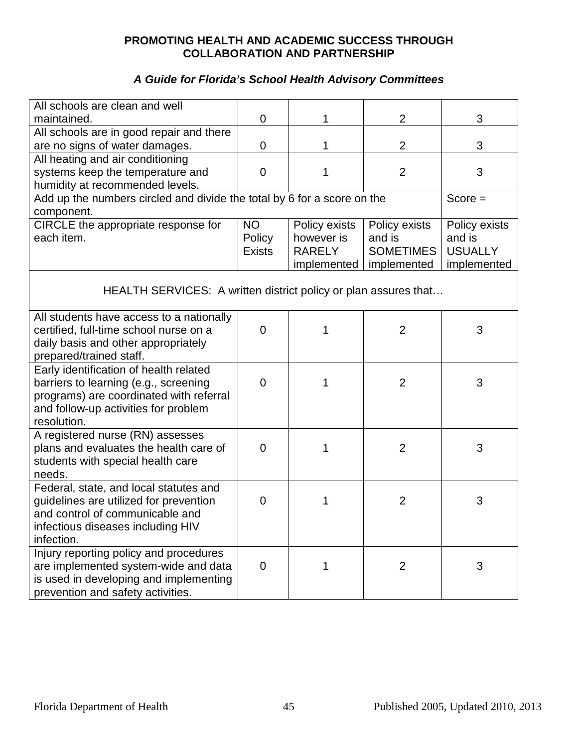| All schools are clean and well                                          |                |               |                  |                |
|-------------------------------------------------------------------------|----------------|---------------|------------------|----------------|
| maintained.                                                             | 0              | 1             | $\overline{2}$   | 3              |
| All schools are in good repair and there                                |                |               |                  |                |
| are no signs of water damages.                                          | 0              | 1             | $\overline{2}$   | 3              |
| All heating and air conditioning                                        |                |               |                  |                |
| systems keep the temperature and                                        | $\Omega$       | 1             | $\overline{2}$   | 3              |
| humidity at recommended levels.                                         |                |               |                  |                |
| Add up the numbers circled and divide the total by 6 for a score on the |                |               |                  | $Score =$      |
| component.                                                              |                |               |                  |                |
| CIRCLE the appropriate response for                                     | <b>NO</b>      | Policy exists | Policy exists    | Policy exists  |
| each item.                                                              | Policy         | however is    | and is           | and is         |
|                                                                         | <b>Exists</b>  | <b>RARELY</b> | <b>SOMETIMES</b> | <b>USUALLY</b> |
|                                                                         |                | implemented   | implemented      | implemented    |
| HEALTH SERVICES: A written district policy or plan assures that         |                |               |                  |                |
| All students have access to a nationally                                |                |               |                  |                |
| certified, full-time school nurse on a                                  | $\overline{0}$ |               | $\overline{2}$   | 3              |
| daily basis and other appropriately                                     |                |               |                  |                |
| prepared/trained staff.                                                 |                |               |                  |                |
| Early identification of health related                                  |                |               |                  |                |
| barriers to learning (e.g., screening                                   | $\overline{0}$ | 1             | $\overline{2}$   | 3              |
| programs) are coordinated with referral                                 |                |               |                  |                |
| and follow-up activities for problem                                    |                |               |                  |                |
| resolution.                                                             |                |               |                  |                |
| A registered nurse (RN) assesses                                        |                |               |                  |                |
| plans and evaluates the health care of                                  | 0              | 1             | $\overline{2}$   | 3              |
| students with special health care                                       |                |               |                  |                |
| needs.                                                                  |                |               |                  |                |
| Federal, state, and local statutes and                                  |                |               |                  |                |
| guidelines are utilized for prevention                                  | 0              | 1             | $\overline{2}$   | 3              |
| and control of communicable and                                         |                |               |                  |                |
| infectious diseases including HIV                                       |                |               |                  |                |
| infection.                                                              |                |               |                  |                |
| Injury reporting policy and procedures                                  |                | 1             |                  |                |
| are implemented system-wide and data                                    | $\mathbf 0$    |               | $\overline{2}$   | 3              |
| is used in developing and implementing                                  |                |               |                  |                |
| prevention and safety activities.                                       |                |               |                  |                |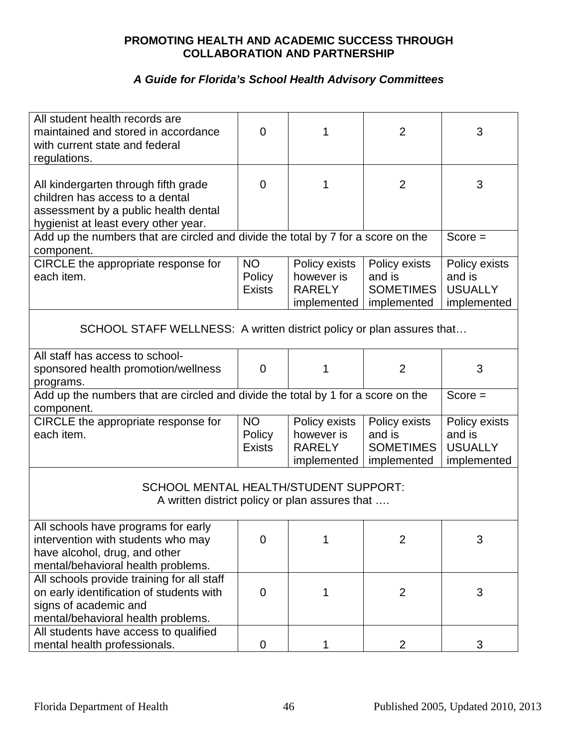| All student health records are<br>maintained and stored in accordance<br>with current state and federal<br>regulations.                                 | $\Omega$                             | 1                                                           | $\overline{2}$                                             | 3                                                        |
|---------------------------------------------------------------------------------------------------------------------------------------------------------|--------------------------------------|-------------------------------------------------------------|------------------------------------------------------------|----------------------------------------------------------|
| All kindergarten through fifth grade<br>children has access to a dental<br>assessment by a public health dental<br>hygienist at least every other year. | $\Omega$                             | 1                                                           | $\overline{2}$                                             | 3                                                        |
| Add up the numbers that are circled and divide the total by 7 for a score on the<br>component.                                                          |                                      |                                                             |                                                            | $Score =$                                                |
| CIRCLE the appropriate response for<br>each item.                                                                                                       | <b>NO</b><br>Policy<br><b>Exists</b> | Policy exists<br>however is<br><b>RARELY</b><br>implemented | Policy exists<br>and is<br><b>SOMETIMES</b><br>implemented | Policy exists<br>and is<br><b>USUALLY</b><br>implemented |
| SCHOOL STAFF WELLNESS: A written district policy or plan assures that                                                                                   |                                      |                                                             |                                                            |                                                          |
| All staff has access to school-<br>sponsored health promotion/wellness<br>programs.                                                                     | $\Omega$                             | 1                                                           | $\overline{2}$                                             | 3                                                        |
| Add up the numbers that are circled and divide the total by 1 for a score on the<br>component.                                                          |                                      |                                                             |                                                            | $Score =$                                                |
| CIRCLE the appropriate response for<br>each item.                                                                                                       | <b>NO</b><br>Policy<br><b>Exists</b> | Policy exists<br>however is<br><b>RARELY</b><br>implemented | Policy exists<br>and is<br><b>SOMETIMES</b><br>implemented | Policy exists<br>and is<br><b>USUALLY</b><br>implemented |
| <b>SCHOOL MENTAL HEALTH/STUDENT SUPPORT:</b><br>A written district policy or plan assures that                                                          |                                      |                                                             |                                                            |                                                          |
| All schools have programs for early<br>intervention with students who may<br>have alcohol, drug, and other<br>mental/behavioral health problems.        | 0                                    |                                                             | $\overline{2}$                                             | 3                                                        |
| All schools provide training for all staff<br>on early identification of students with<br>signs of academic and<br>mental/behavioral health problems.   | 0                                    | 1                                                           | $\overline{2}$                                             | 3                                                        |
| All students have access to qualified<br>mental health professionals.                                                                                   | 0                                    |                                                             | $\overline{2}$                                             | 3                                                        |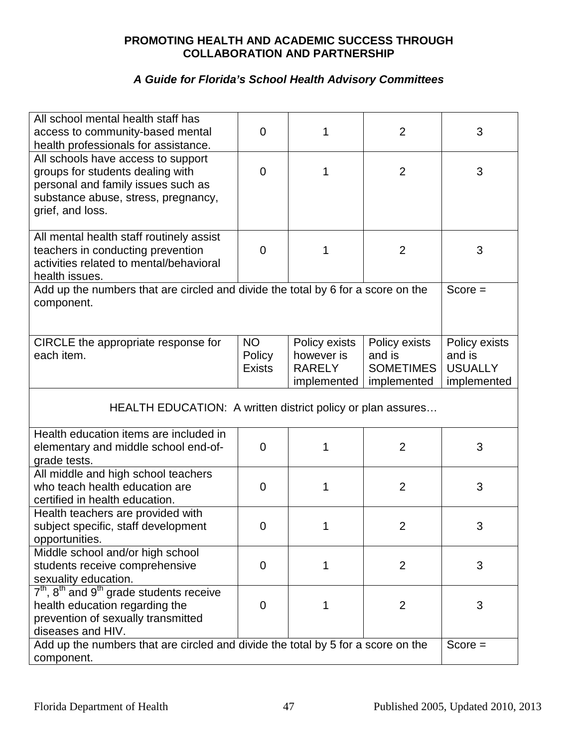| All school mental health staff has                                                                    | 0              | 1             | $\overline{2}$   | 3              |
|-------------------------------------------------------------------------------------------------------|----------------|---------------|------------------|----------------|
| access to community-based mental<br>health professionals for assistance.                              |                |               |                  |                |
| All schools have access to support                                                                    |                |               |                  |                |
| groups for students dealing with                                                                      | 0              | 1             | $\overline{2}$   | 3              |
| personal and family issues such as                                                                    |                |               |                  |                |
| substance abuse, stress, pregnancy,                                                                   |                |               |                  |                |
| grief, and loss.                                                                                      |                |               |                  |                |
|                                                                                                       |                |               |                  |                |
| All mental health staff routinely assist                                                              |                |               |                  |                |
| teachers in conducting prevention                                                                     | 0              | 1             | $\overline{2}$   | 3              |
| activities related to mental/behavioral                                                               |                |               |                  |                |
| health issues.                                                                                        |                |               |                  |                |
| Add up the numbers that are circled and divide the total by 6 for a score on the<br>component.        |                |               |                  | $Score =$      |
|                                                                                                       |                |               |                  |                |
|                                                                                                       |                |               |                  |                |
| CIRCLE the appropriate response for                                                                   | <b>NO</b>      | Policy exists | Policy exists    | Policy exists  |
| each item.                                                                                            | Policy         | however is    | and is           | and is         |
|                                                                                                       | <b>Exists</b>  | <b>RARELY</b> | <b>SOMETIMES</b> | <b>USUALLY</b> |
|                                                                                                       |                | implemented   | implemented      | implemented    |
| HEALTH EDUCATION: A written district policy or plan assures                                           |                |               |                  |                |
| Health education items are included in                                                                |                |               |                  |                |
| elementary and middle school end-of-                                                                  | $\overline{0}$ | 1             | $\overline{2}$   | 3              |
| grade tests.                                                                                          |                |               |                  |                |
| All middle and high school teachers                                                                   |                |               |                  |                |
| who teach health education are                                                                        | 0              | 1             | $\overline{2}$   | 3              |
| certified in health education.                                                                        |                |               |                  |                |
| Health teachers are provided with                                                                     |                |               |                  |                |
| subject specific, staff development                                                                   | 0              | 1             | $\overline{2}$   | 3              |
| opportunities.                                                                                        |                |               |                  |                |
| Middle school and/or high school                                                                      |                |               |                  |                |
| students receive comprehensive                                                                        | 0              | 1             | 2                | 3              |
| sexuality education.                                                                                  |                |               |                  |                |
| $7th$ , $8th$ and $9th$ grade students receive                                                        | 0              | 1             | $\overline{2}$   | 3              |
| health education regarding the<br>prevention of sexually transmitted                                  |                |               |                  |                |
|                                                                                                       |                |               |                  |                |
|                                                                                                       |                |               |                  |                |
| component.                                                                                            |                |               |                  |                |
| diseases and HIV.<br>Add up the numbers that are circled and divide the total by 5 for a score on the |                |               |                  | $Score =$      |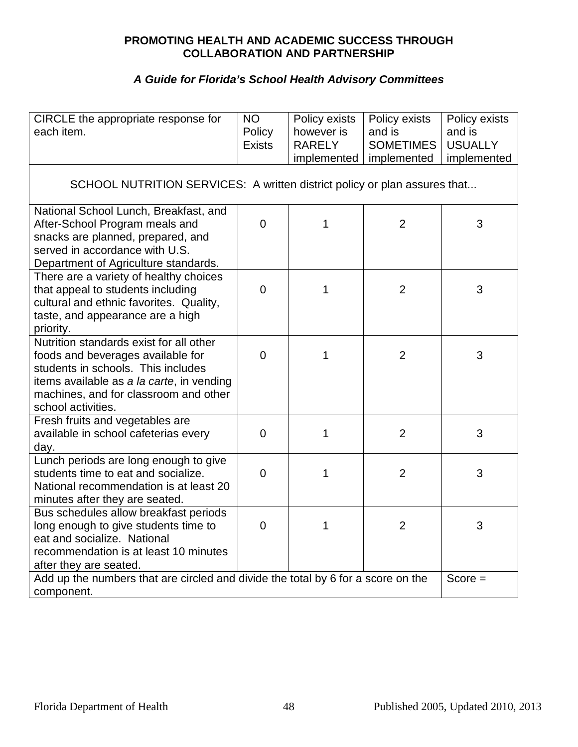| CIRCLE the appropriate response for<br>each item.                                                                                                                                                                              | <b>NO</b><br>Policy<br><b>Exists</b> | Policy exists<br>however is<br><b>RARELY</b> | Policy exists<br>and is<br><b>SOMETIMES</b> | Policy exists<br>and is<br><b>USUALLY</b> |
|--------------------------------------------------------------------------------------------------------------------------------------------------------------------------------------------------------------------------------|--------------------------------------|----------------------------------------------|---------------------------------------------|-------------------------------------------|
|                                                                                                                                                                                                                                |                                      | implemented                                  | implemented                                 | implemented                               |
| SCHOOL NUTRITION SERVICES: A written district policy or plan assures that                                                                                                                                                      |                                      |                                              |                                             |                                           |
| National School Lunch, Breakfast, and<br>After-School Program meals and<br>snacks are planned, prepared, and<br>served in accordance with U.S.                                                                                 | $\Omega$                             | 1                                            | $\overline{2}$                              | 3                                         |
| Department of Agriculture standards.                                                                                                                                                                                           |                                      |                                              |                                             |                                           |
| There are a variety of healthy choices<br>that appeal to students including<br>cultural and ethnic favorites. Quality,<br>taste, and appearance are a high<br>priority.                                                        | $\Omega$                             | 1                                            | $\overline{2}$                              | 3                                         |
| Nutrition standards exist for all other<br>foods and beverages available for<br>students in schools. This includes<br>items available as a la carte, in vending<br>machines, and for classroom and other<br>school activities. | $\overline{0}$                       | 1                                            | $\overline{2}$                              | 3                                         |
| Fresh fruits and vegetables are<br>available in school cafeterias every<br>day.                                                                                                                                                | $\overline{0}$                       | 1                                            | $\overline{2}$                              | 3                                         |
| Lunch periods are long enough to give<br>students time to eat and socialize.<br>National recommendation is at least 20<br>minutes after they are seated.                                                                       | $\overline{0}$                       | 1                                            | $\overline{2}$                              | 3                                         |
| Bus schedules allow breakfast periods<br>long enough to give students time to<br>eat and socialize. National<br>recommendation is at least 10 minutes<br>after they are seated.                                                | $\overline{0}$                       | 1                                            | $\overline{2}$                              | 3                                         |
| Add up the numbers that are circled and divide the total by 6 for a score on the<br>$Score =$<br>component.                                                                                                                    |                                      |                                              |                                             |                                           |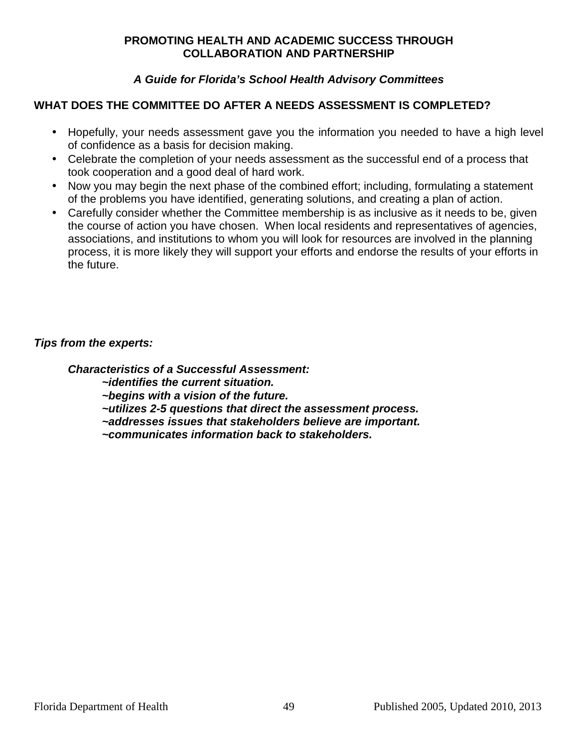#### **A Guide for Florida's School Health Advisory Committees**

#### **WHAT DOES THE COMMITTEE DO AFTER A NEEDS ASSESSMENT IS COMPLETED?**

- Hopefully, your needs assessment gave you the information you needed to have a high level of confidence as a basis for decision making.
- Celebrate the completion of your needs assessment as the successful end of a process that took cooperation and a good deal of hard work.
- Now you may begin the next phase of the combined effort; including, formulating a statement of the problems you have identified, generating solutions, and creating a plan of action.
- Carefully consider whether the Committee membership is as inclusive as it needs to be, given the course of action you have chosen. When local residents and representatives of agencies, associations, and institutions to whom you will look for resources are involved in the planning process, it is more likely they will support your efforts and endorse the results of your efforts in the future.

#### **Tips from the experts:**

**Characteristics of a Successful Assessment:** 

 **~identifies the current situation.** 

 **~begins with a vision of the future.** 

 **~utilizes 2-5 questions that direct the assessment process.** 

 **~addresses issues that stakeholders believe are important.** 

 **~communicates information back to stakeholders.**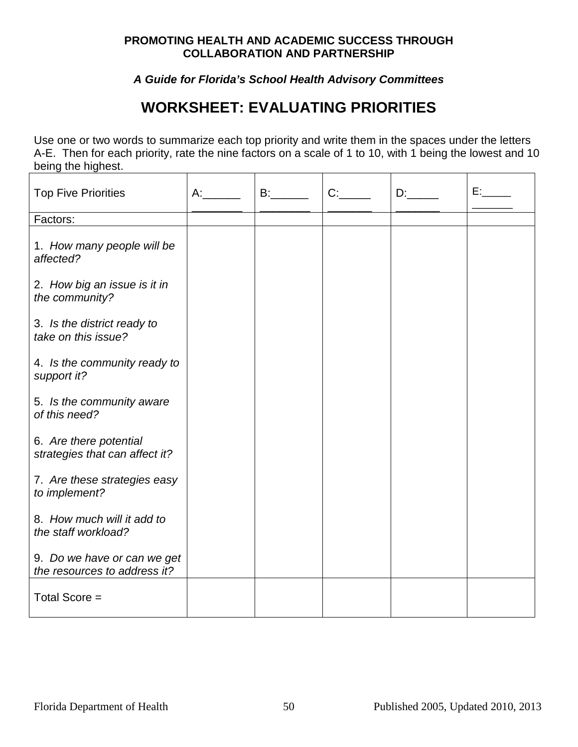**A Guide for Florida's School Health Advisory Committees** 

# **WORKSHEET: EVALUATING PRIORITIES**

Use one or two words to summarize each top priority and write them in the spaces under the letters A-E. Then for each priority, rate the nine factors on a scale of 1 to 10, with 1 being the lowest and 10 being the highest.  $\overline{\phantom{a}}$ 

| <b>Top Five Priorities</b>                                  | A: | B: | C: | D: | E: |
|-------------------------------------------------------------|----|----|----|----|----|
| Factors:                                                    |    |    |    |    |    |
| 1. How many people will be<br>affected?                     |    |    |    |    |    |
| 2. How big an issue is it in<br>the community?              |    |    |    |    |    |
| 3. Is the district ready to<br>take on this issue?          |    |    |    |    |    |
| 4. Is the community ready to<br>support it?                 |    |    |    |    |    |
| 5. Is the community aware<br>of this need?                  |    |    |    |    |    |
| 6. Are there potential<br>strategies that can affect it?    |    |    |    |    |    |
| 7. Are these strategies easy<br>to implement?               |    |    |    |    |    |
| 8. How much will it add to<br>the staff workload?           |    |    |    |    |    |
| 9. Do we have or can we get<br>the resources to address it? |    |    |    |    |    |
| Total Score =                                               |    |    |    |    |    |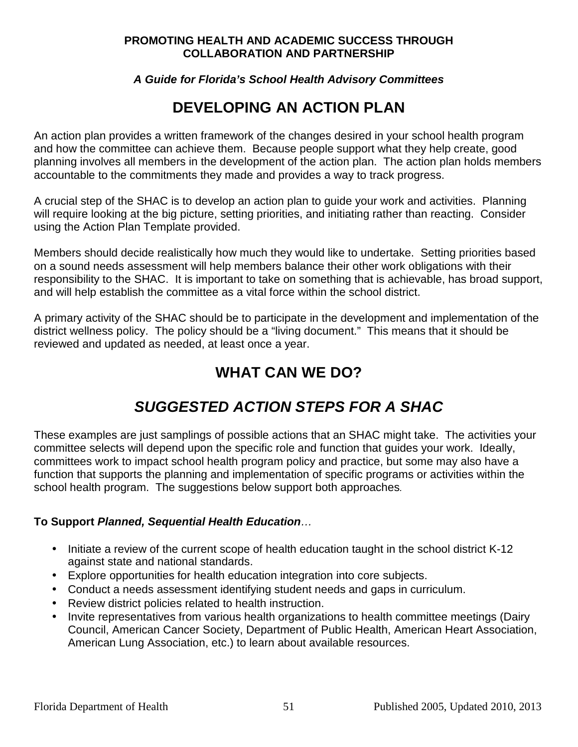#### **A Guide for Florida's School Health Advisory Committees**

# **DEVELOPING AN ACTION PLAN**

An action plan provides a written framework of the changes desired in your school health program and how the committee can achieve them. Because people support what they help create, good planning involves all members in the development of the action plan. The action plan holds members accountable to the commitments they made and provides a way to track progress.

A crucial step of the SHAC is to develop an action plan to guide your work and activities. Planning will require looking at the big picture, setting priorities, and initiating rather than reacting. Consider using the Action Plan Template provided.

Members should decide realistically how much they would like to undertake. Setting priorities based on a sound needs assessment will help members balance their other work obligations with their responsibility to the SHAC. It is important to take on something that is achievable, has broad support, and will help establish the committee as a vital force within the school district.

A primary activity of the SHAC should be to participate in the development and implementation of the district wellness policy. The policy should be a "living document." This means that it should be reviewed and updated as needed, at least once a year.

# **WHAT CAN WE DO?**

# **SUGGESTED ACTION STEPS FOR A SHAC**

These examples are just samplings of possible actions that an SHAC might take. The activities your committee selects will depend upon the specific role and function that guides your work. Ideally, committees work to impact school health program policy and practice, but some may also have a function that supports the planning and implementation of specific programs or activities within the school health program. The suggestions below support both approaches.

#### **To Support Planned, Sequential Health Education**…

- Initiate a review of the current scope of health education taught in the school district K-12 against state and national standards.
- Explore opportunities for health education integration into core subjects.
- Conduct a needs assessment identifying student needs and gaps in curriculum.
- Review district policies related to health instruction.
- Invite representatives from various health organizations to health committee meetings (Dairy Council, American Cancer Society, Department of Public Health, American Heart Association, American Lung Association, etc.) to learn about available resources.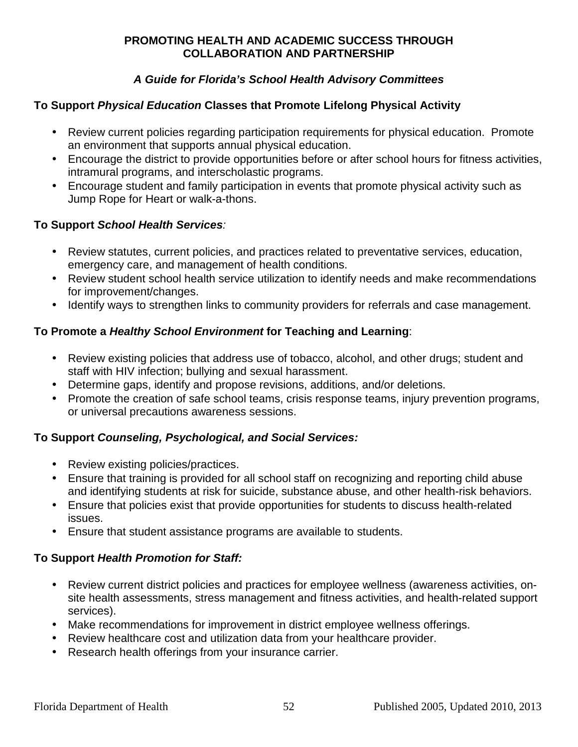### **A Guide for Florida's School Health Advisory Committees**

#### **To Support Physical Education Classes that Promote Lifelong Physical Activity**

- Review current policies regarding participation requirements for physical education. Promote an environment that supports annual physical education.
- Encourage the district to provide opportunities before or after school hours for fitness activities, intramural programs, and interscholastic programs.
- Encourage student and family participation in events that promote physical activity such as Jump Rope for Heart or walk-a-thons.

#### **To Support School Health Services**:

- Review statutes, current policies, and practices related to preventative services, education, emergency care, and management of health conditions.
- Review student school health service utilization to identify needs and make recommendations for improvement/changes.
- Identify ways to strengthen links to community providers for referrals and case management.

#### **To Promote a Healthy School Environment for Teaching and Learning**:

- Review existing policies that address use of tobacco, alcohol, and other drugs; student and staff with HIV infection; bullying and sexual harassment.
- Determine gaps, identify and propose revisions, additions, and/or deletions.
- Promote the creation of safe school teams, crisis response teams, injury prevention programs, or universal precautions awareness sessions.

#### **To Support Counseling, Psychological, and Social Services:**

- Review existing policies/practices.
- Ensure that training is provided for all school staff on recognizing and reporting child abuse and identifying students at risk for suicide, substance abuse, and other health-risk behaviors.
- Ensure that policies exist that provide opportunities for students to discuss health-related issues.
- Ensure that student assistance programs are available to students.

#### **To Support Health Promotion for Staff:**

- Review current district policies and practices for employee wellness (awareness activities, onsite health assessments, stress management and fitness activities, and health-related support services).
- Make recommendations for improvement in district employee wellness offerings.
- Review healthcare cost and utilization data from your healthcare provider.
- Research health offerings from your insurance carrier.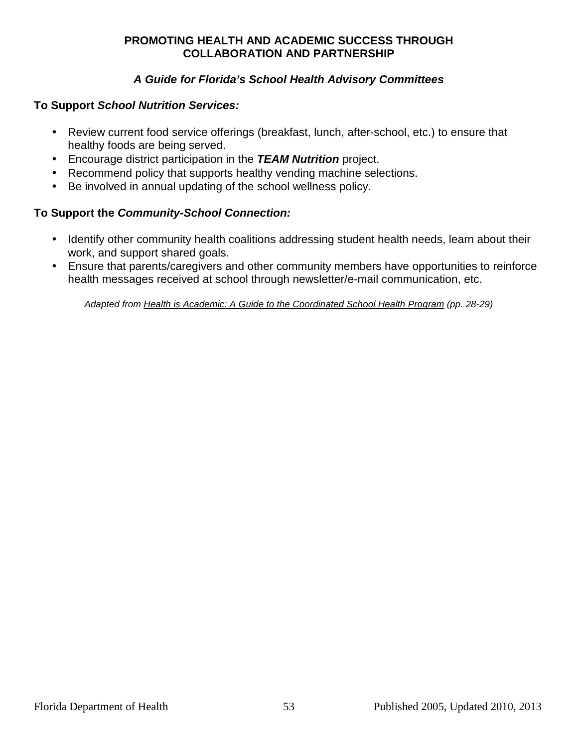#### **A Guide for Florida's School Health Advisory Committees**

#### **To Support School Nutrition Services:**

- Review current food service offerings (breakfast, lunch, after-school, etc.) to ensure that healthy foods are being served.
- Encourage district participation in the **TEAM Nutrition** project.
- Recommend policy that supports healthy vending machine selections.
- Be involved in annual updating of the school wellness policy.

#### **To Support the Community-School Connection:**

- Identify other community health coalitions addressing student health needs, learn about their work, and support shared goals.
- Ensure that parents/caregivers and other community members have opportunities to reinforce health messages received at school through newsletter/e-mail communication, etc.

Adapted from **Health is Academic: A Guide to the Coordinated School Health Program (pp. 28-29)**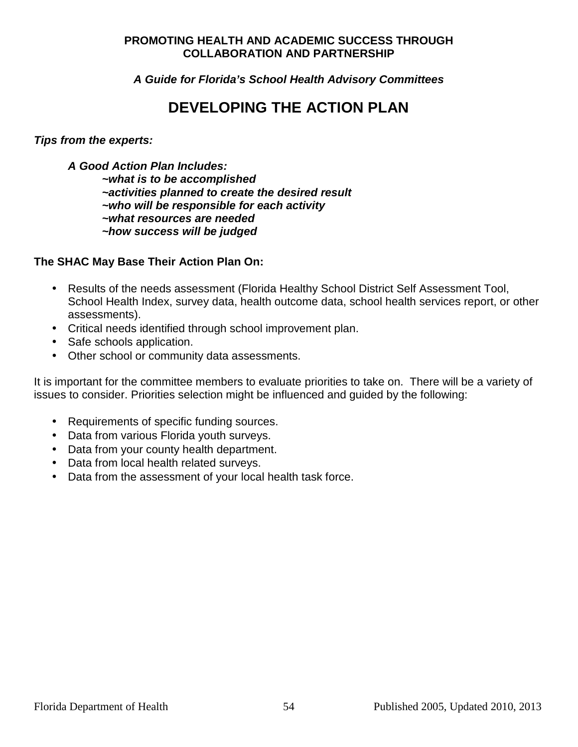**A Guide for Florida's School Health Advisory Committees** 

## **DEVELOPING THE ACTION PLAN**

**Tips from the experts:** 

**A Good Action Plan Includes:** 

**~what is to be accomplished ~activities planned to create the desired result ~who will be responsible for each activity ~what resources are needed ~how success will be judged** 

#### **The SHAC May Base Their Action Plan On:**

- Results of the needs assessment (Florida Healthy School District Self Assessment Tool, School Health Index, survey data, health outcome data, school health services report, or other assessments).
- Critical needs identified through school improvement plan.
- Safe schools application.
- Other school or community data assessments.

It is important for the committee members to evaluate priorities to take on. There will be a variety of issues to consider. Priorities selection might be influenced and guided by the following:

- Requirements of specific funding sources.
- Data from various Florida youth surveys.
- Data from your county health department.
- Data from local health related surveys.
- Data from the assessment of your local health task force.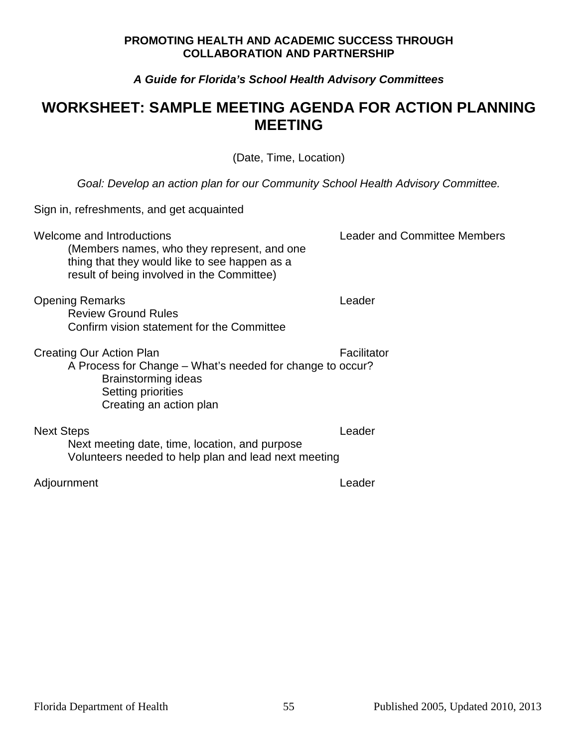#### **A Guide for Florida's School Health Advisory Committees**

## **WORKSHEET: SAMPLE MEETING AGENDA FOR ACTION PLANNING MEETING**

(Date, Time, Location)

Goal: Develop an action plan for our Community School Health Advisory Committee.

| Sign in, refreshments, and get acquainted                                                                                                                               |                                     |
|-------------------------------------------------------------------------------------------------------------------------------------------------------------------------|-------------------------------------|
| Welcome and Introductions<br>(Members names, who they represent, and one<br>thing that they would like to see happen as a<br>result of being involved in the Committee) | <b>Leader and Committee Members</b> |
| <b>Opening Remarks</b><br><b>Review Ground Rules</b><br>Confirm vision statement for the Committee                                                                      | Leader                              |
| Creating Our Action Plan<br>A Process for Change – What's needed for change to occur?<br>Brainstorming ideas<br>Setting priorities<br>Creating an action plan           | Facilitator                         |
| <b>Next Steps</b><br>Next meeting date, time, location, and purpose<br>Volunteers needed to help plan and lead next meeting                                             | Leader                              |
| Adjournment                                                                                                                                                             | Leader                              |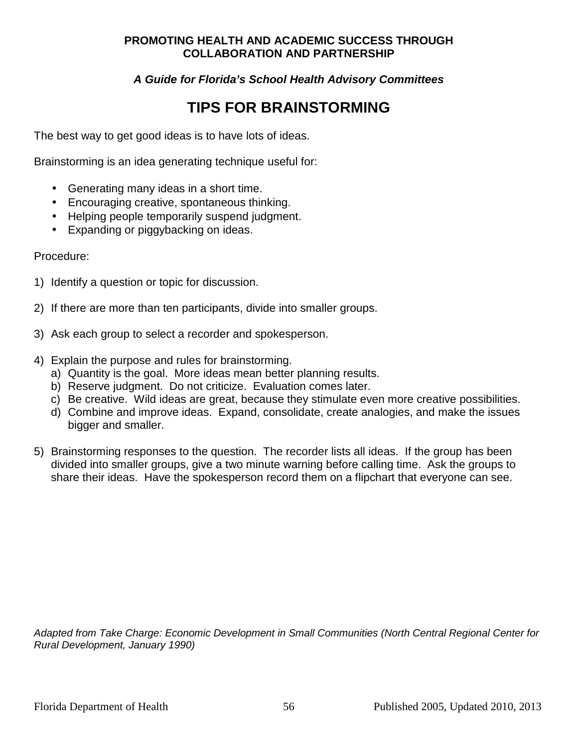**A Guide for Florida's School Health Advisory Committees** 

# **TIPS FOR BRAINSTORMING**

The best way to get good ideas is to have lots of ideas.

Brainstorming is an idea generating technique useful for:

- Generating many ideas in a short time.
- Encouraging creative, spontaneous thinking.
- Helping people temporarily suspend judgment.
- Expanding or piggybacking on ideas.

#### Procedure:

- 1) Identify a question or topic for discussion.
- 2) If there are more than ten participants, divide into smaller groups.
- 3) Ask each group to select a recorder and spokesperson.
- 4) Explain the purpose and rules for brainstorming.
	- a) Quantity is the goal. More ideas mean better planning results.
	- b) Reserve judgment. Do not criticize. Evaluation comes later.
	- c) Be creative. Wild ideas are great, because they stimulate even more creative possibilities.
	- d) Combine and improve ideas. Expand, consolidate, create analogies, and make the issues bigger and smaller.
- 5) Brainstorming responses to the question. The recorder lists all ideas. If the group has been divided into smaller groups, give a two minute warning before calling time. Ask the groups to share their ideas. Have the spokesperson record them on a flipchart that everyone can see.

Adapted from Take Charge: Economic Development in Small Communities (North Central Regional Center for Rural Development, January 1990)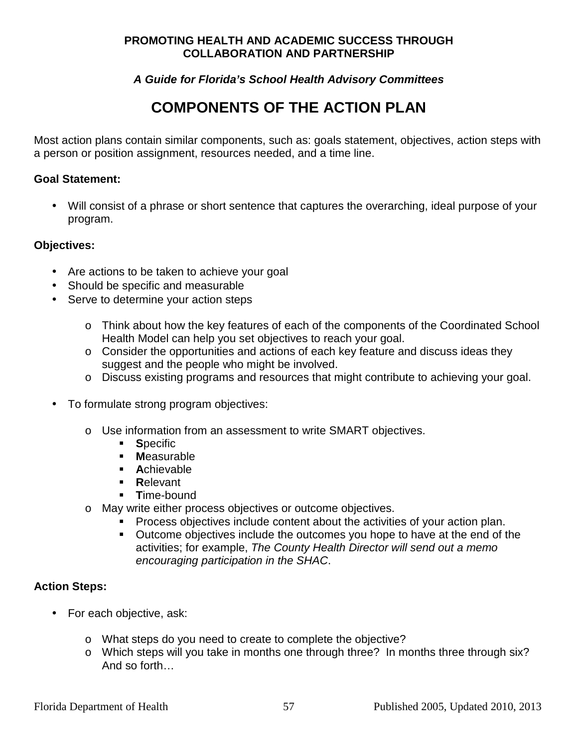#### **A Guide for Florida's School Health Advisory Committees**

# **COMPONENTS OF THE ACTION PLAN**

Most action plans contain similar components, such as: goals statement, objectives, action steps with a person or position assignment, resources needed, and a time line.

#### **Goal Statement:**

• Will consist of a phrase or short sentence that captures the overarching, ideal purpose of your program.

#### **Objectives:**

- Are actions to be taken to achieve your goal
- Should be specific and measurable
- Serve to determine your action steps
	- o Think about how the key features of each of the components of the Coordinated School Health Model can help you set objectives to reach your goal.
	- o Consider the opportunities and actions of each key feature and discuss ideas they suggest and the people who might be involved.
	- o Discuss existing programs and resources that might contribute to achieving your goal.
- To formulate strong program objectives:
	- o Use information from an assessment to write SMART objectives.
		- **Specific**
		- **M**easurable
		- **A**chievable
		- **R**elevant
		- **T**ime-bound
	- o May write either process objectives or outcome objectives.
		- **Process objectives include content about the activities of your action plan.**
		- **Dutcome objectives include the outcomes you hope to have at the end of the** activities; for example, The County Health Director will send out a memo encouraging participation in the SHAC.

#### **Action Steps:**

- For each objective, ask:
	- o What steps do you need to create to complete the objective?
	- o Which steps will you take in months one through three? In months three through six? And so forth…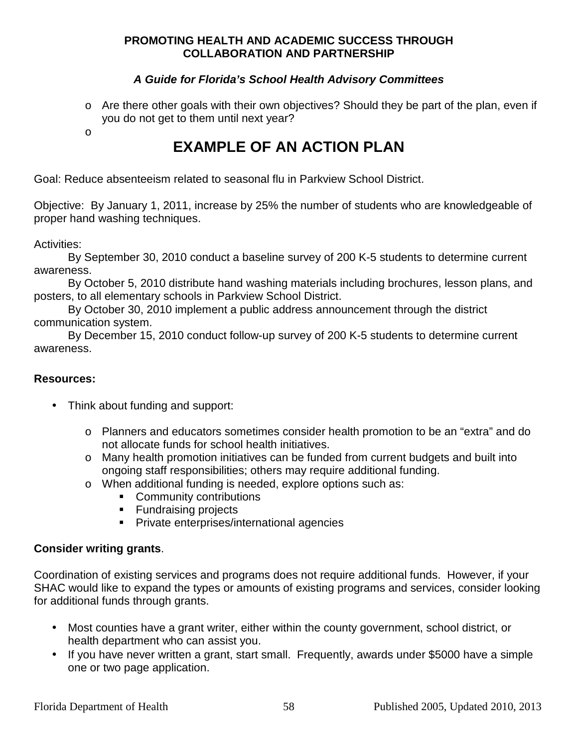#### **A Guide for Florida's School Health Advisory Committees**

o Are there other goals with their own objectives? Should they be part of the plan, even if you do not get to them until next year?

o

# **EXAMPLE OF AN ACTION PLAN**

Goal: Reduce absenteeism related to seasonal flu in Parkview School District.

Objective: By January 1, 2011, increase by 25% the number of students who are knowledgeable of proper hand washing techniques.

Activities:

 By September 30, 2010 conduct a baseline survey of 200 K-5 students to determine current awareness.

 By October 5, 2010 distribute hand washing materials including brochures, lesson plans, and posters, to all elementary schools in Parkview School District.

 By October 30, 2010 implement a public address announcement through the district communication system.

 By December 15, 2010 conduct follow-up survey of 200 K-5 students to determine current awareness.

#### **Resources:**

- Think about funding and support:
	- o Planners and educators sometimes consider health promotion to be an "extra" and do not allocate funds for school health initiatives.
	- o Many health promotion initiatives can be funded from current budgets and built into ongoing staff responsibilities; others may require additional funding.
	- o When additional funding is needed, explore options such as:
		- **Community contributions**
		- **Fundraising projects**
		- **Private enterprises/international agencies**

#### **Consider writing grants**.

Coordination of existing services and programs does not require additional funds. However, if your SHAC would like to expand the types or amounts of existing programs and services, consider looking for additional funds through grants.

- Most counties have a grant writer, either within the county government, school district, or health department who can assist you.
- If you have never written a grant, start small. Frequently, awards under \$5000 have a simple one or two page application.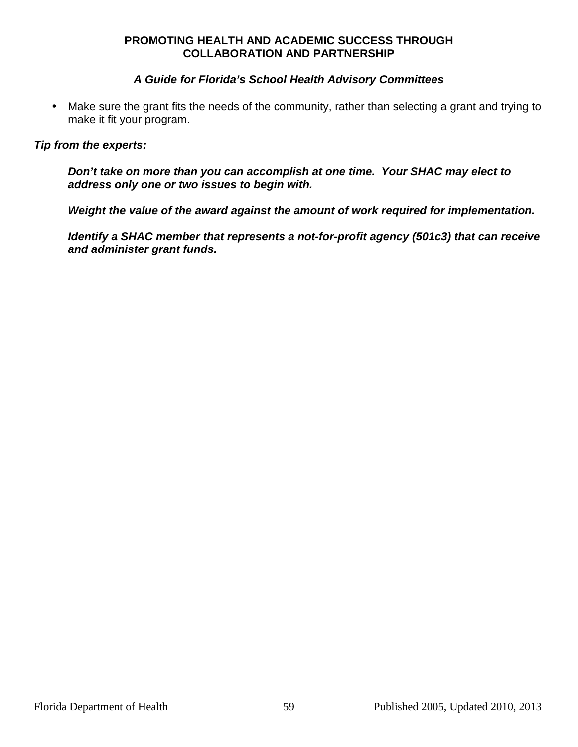#### **A Guide for Florida's School Health Advisory Committees**

• Make sure the grant fits the needs of the community, rather than selecting a grant and trying to make it fit your program.

#### **Tip from the experts:**

**Don't take on more than you can accomplish at one time. Your SHAC may elect to address only one or two issues to begin with.** 

**Weight the value of the award against the amount of work required for implementation.** 

**Identify a SHAC member that represents a not-for-profit agency (501c3) that can receive and administer grant funds.**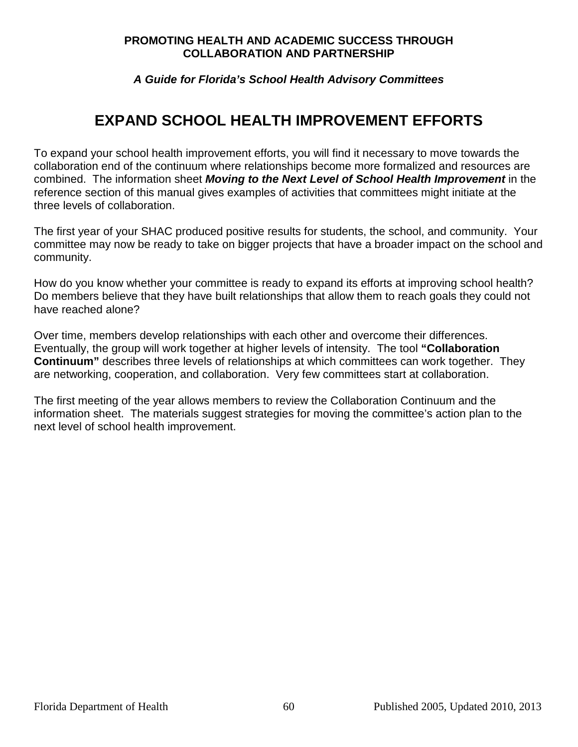#### **A Guide for Florida's School Health Advisory Committees**

# **EXPAND SCHOOL HEALTH IMPROVEMENT EFFORTS**

To expand your school health improvement efforts, you will find it necessary to move towards the collaboration end of the continuum where relationships become more formalized and resources are combined. The information sheet **Moving to the Next Level of School Health Improvement** in the reference section of this manual gives examples of activities that committees might initiate at the three levels of collaboration.

The first year of your SHAC produced positive results for students, the school, and community. Your committee may now be ready to take on bigger projects that have a broader impact on the school and community.

How do you know whether your committee is ready to expand its efforts at improving school health? Do members believe that they have built relationships that allow them to reach goals they could not have reached alone?

Over time, members develop relationships with each other and overcome their differences. Eventually, the group will work together at higher levels of intensity. The tool **"Collaboration Continuum"** describes three levels of relationships at which committees can work together. They are networking, cooperation, and collaboration. Very few committees start at collaboration.

The first meeting of the year allows members to review the Collaboration Continuum and the information sheet. The materials suggest strategies for moving the committee's action plan to the next level of school health improvement.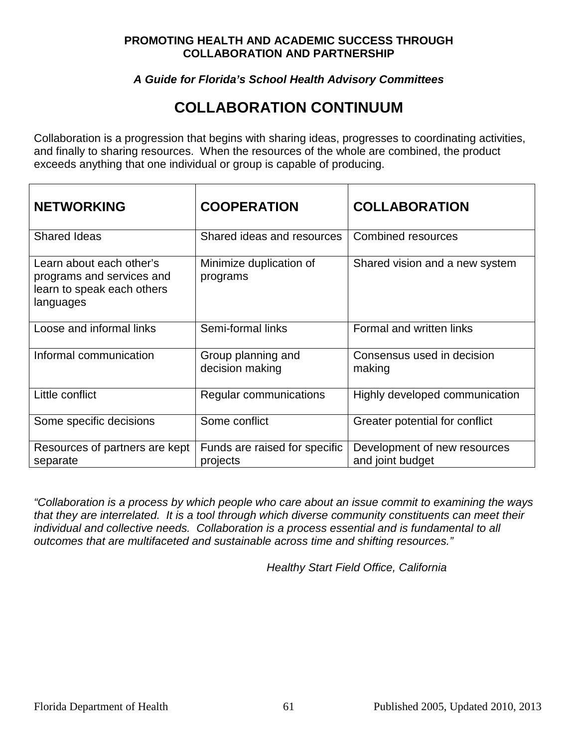#### **A Guide for Florida's School Health Advisory Committees**

# **COLLABORATION CONTINUUM**

Collaboration is a progression that begins with sharing ideas, progresses to coordinating activities, and finally to sharing resources. When the resources of the whole are combined, the product exceeds anything that one individual or group is capable of producing.

| <b>NETWORKING</b>                                                                                | <b>COOPERATION</b>                        | <b>COLLABORATION</b>                             |
|--------------------------------------------------------------------------------------------------|-------------------------------------------|--------------------------------------------------|
| <b>Shared Ideas</b>                                                                              | Shared ideas and resources                | <b>Combined resources</b>                        |
| Learn about each other's<br>programs and services and<br>learn to speak each others<br>languages | Minimize duplication of<br>programs       | Shared vision and a new system                   |
| Loose and informal links                                                                         | Semi-formal links                         | Formal and written links                         |
| Informal communication                                                                           | Group planning and<br>decision making     | Consensus used in decision<br>making             |
| Little conflict                                                                                  | Regular communications                    | Highly developed communication                   |
| Some specific decisions                                                                          | Some conflict                             | Greater potential for conflict                   |
| Resources of partners are kept<br>separate                                                       | Funds are raised for specific<br>projects | Development of new resources<br>and joint budget |

"Collaboration is a process by which people who care about an issue commit to examining the ways that they are interrelated. It is a tool through which diverse community constituents can meet their individual and collective needs. Collaboration is a process essential and is fundamental to all outcomes that are multifaceted and sustainable across time and shifting resources."

Healthy Start Field Office, California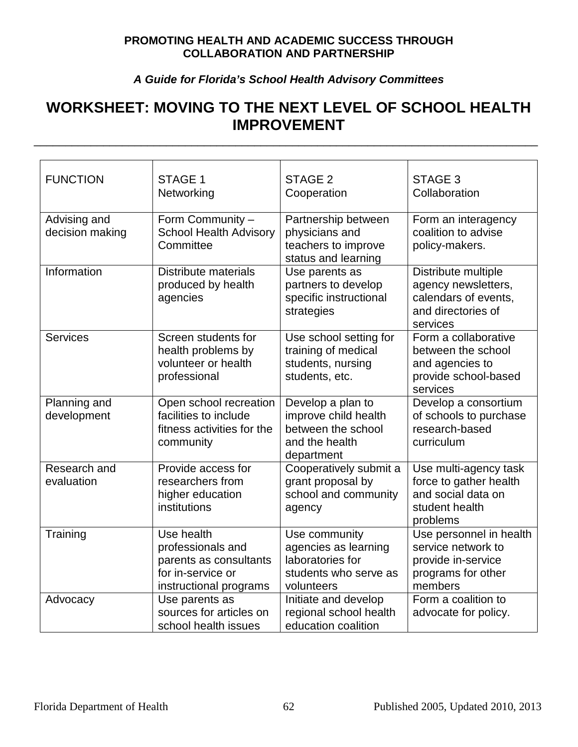### **A Guide for Florida's School Health Advisory Committees**

# **WORKSHEET: MOVING TO THE NEXT LEVEL OF SCHOOL HEALTH IMPROVEMENT**

\_\_\_\_\_\_\_\_\_\_\_\_\_\_\_\_\_\_\_\_\_\_\_\_\_\_\_\_\_\_\_\_\_\_\_\_\_\_\_\_\_\_\_\_\_\_\_\_\_\_\_\_\_\_\_\_\_\_\_\_\_\_\_\_\_\_\_\_\_\_\_\_\_\_\_\_\_\_\_\_

| <b>FUNCTION</b>                 | STAGE 1<br>Networking                                                                                    | STAGE <sub>2</sub><br>Cooperation                                                                | STAGE 3<br>Collaboration                                                                             |
|---------------------------------|----------------------------------------------------------------------------------------------------------|--------------------------------------------------------------------------------------------------|------------------------------------------------------------------------------------------------------|
| Advising and<br>decision making | Form Community -<br><b>School Health Advisory</b><br>Committee                                           | Partnership between<br>physicians and<br>teachers to improve<br>status and learning              | Form an interagency<br>coalition to advise<br>policy-makers.                                         |
| Information                     | Distribute materials<br>produced by health<br>agencies                                                   | Use parents as<br>partners to develop<br>specific instructional<br>strategies                    | Distribute multiple<br>agency newsletters,<br>calendars of events,<br>and directories of<br>services |
| <b>Services</b>                 | Screen students for<br>health problems by<br>volunteer or health<br>professional                         | Use school setting for<br>training of medical<br>students, nursing<br>students, etc.             | Form a collaborative<br>between the school<br>and agencies to<br>provide school-based<br>services    |
| Planning and<br>development     | Open school recreation<br>facilities to include<br>fitness activities for the<br>community               | Develop a plan to<br>improve child health<br>between the school<br>and the health<br>department  | Develop a consortium<br>of schools to purchase<br>research-based<br>curriculum                       |
| Research and<br>evaluation      | Provide access for<br>researchers from<br>higher education<br>institutions                               | Cooperatively submit a<br>grant proposal by<br>school and community<br>agency                    | Use multi-agency task<br>force to gather health<br>and social data on<br>student health<br>problems  |
| Training                        | Use health<br>professionals and<br>parents as consultants<br>for in-service or<br>instructional programs | Use community<br>agencies as learning<br>laboratories for<br>students who serve as<br>volunteers | Use personnel in health<br>service network to<br>provide in-service<br>programs for other<br>members |
| Advocacy                        | Use parents as<br>sources for articles on<br>school health issues                                        | Initiate and develop<br>regional school health<br>education coalition                            | Form a coalition to<br>advocate for policy.                                                          |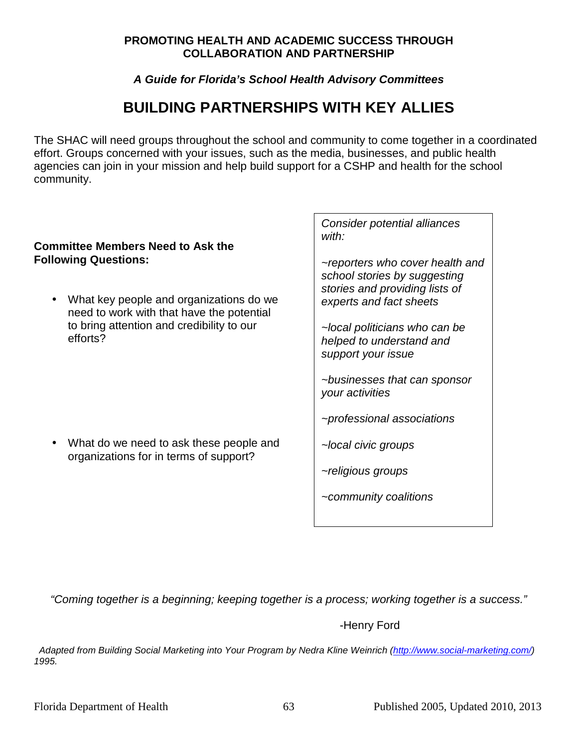#### **A Guide for Florida's School Health Advisory Committees**

# **BUILDING PARTNERSHIPS WITH KEY ALLIES**

The SHAC will need groups throughout the school and community to come together in a coordinated effort. Groups concerned with your issues, such as the media, businesses, and public health agencies can join in your mission and help build support for a CSHP and health for the school community.

#### **Committee Members Need to Ask the Following Questions:**

• What key people and organizations do we need to work with that have the potential to bring attention and credibility to our efforts?

• What do we need to ask these people and organizations for in terms of support?

Consider potential alliances with:

~reporters who cover health and school stories by suggesting stories and providing lists of experts and fact sheets

~local politicians who can be helped to understand and support your issue

~businesses that can sponsor your activities

~professional associations

~local civic groups

~religious groups

~community coalitions

"Coming together is a beginning; keeping together is a process; working together is a success."

-Henry Ford

 Adapted from Building Social Marketing into Your Program by Nedra Kline Weinrich (http://www.social-marketing.com/) 1995.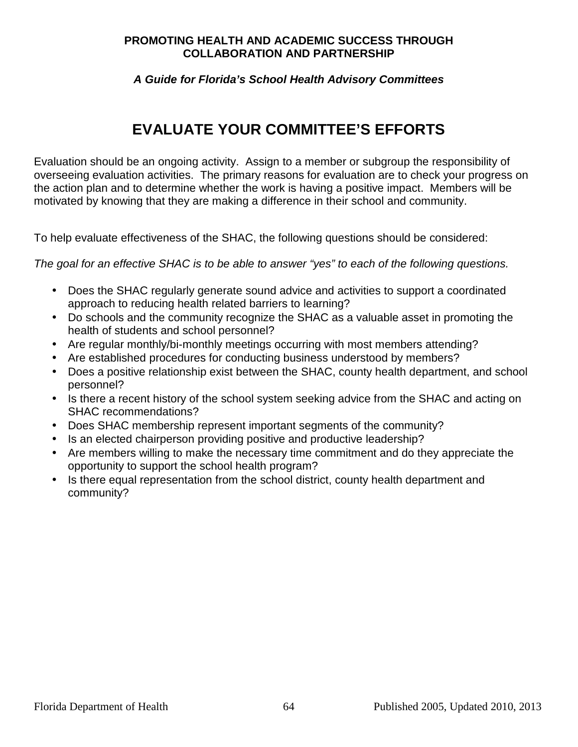#### **A Guide for Florida's School Health Advisory Committees**

# **EVALUATE YOUR COMMITTEE'S EFFORTS**

Evaluation should be an ongoing activity. Assign to a member or subgroup the responsibility of overseeing evaluation activities. The primary reasons for evaluation are to check your progress on the action plan and to determine whether the work is having a positive impact. Members will be motivated by knowing that they are making a difference in their school and community.

To help evaluate effectiveness of the SHAC, the following questions should be considered:

The goal for an effective SHAC is to be able to answer "yes" to each of the following questions.

- Does the SHAC regularly generate sound advice and activities to support a coordinated approach to reducing health related barriers to learning?
- Do schools and the community recognize the SHAC as a valuable asset in promoting the health of students and school personnel?
- Are regular monthly/bi-monthly meetings occurring with most members attending?
- Are established procedures for conducting business understood by members?
- Does a positive relationship exist between the SHAC, county health department, and school personnel?
- Is there a recent history of the school system seeking advice from the SHAC and acting on SHAC recommendations?
- Does SHAC membership represent important segments of the community?
- Is an elected chairperson providing positive and productive leadership?
- Are members willing to make the necessary time commitment and do they appreciate the opportunity to support the school health program?
- Is there equal representation from the school district, county health department and community?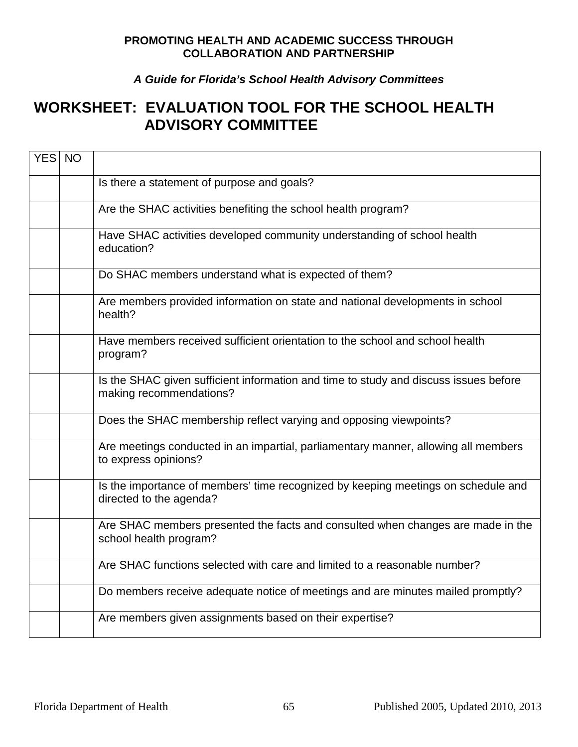### **A Guide for Florida's School Health Advisory Committees**

## **WORKSHEET: EVALUATION TOOL FOR THE SCHOOL HEALTH ADVISORY COMMITTEE**

| YES NO |                                                                                                                 |
|--------|-----------------------------------------------------------------------------------------------------------------|
|        | Is there a statement of purpose and goals?                                                                      |
|        | Are the SHAC activities benefiting the school health program?                                                   |
|        | Have SHAC activities developed community understanding of school health<br>education?                           |
|        | Do SHAC members understand what is expected of them?                                                            |
|        | Are members provided information on state and national developments in school<br>health?                        |
|        | Have members received sufficient orientation to the school and school health<br>program?                        |
|        | Is the SHAC given sufficient information and time to study and discuss issues before<br>making recommendations? |
|        | Does the SHAC membership reflect varying and opposing viewpoints?                                               |
|        | Are meetings conducted in an impartial, parliamentary manner, allowing all members<br>to express opinions?      |
|        | Is the importance of members' time recognized by keeping meetings on schedule and<br>directed to the agenda?    |
|        | Are SHAC members presented the facts and consulted when changes are made in the<br>school health program?       |
|        | Are SHAC functions selected with care and limited to a reasonable number?                                       |
|        | Do members receive adequate notice of meetings and are minutes mailed promptly?                                 |
|        | Are members given assignments based on their expertise?                                                         |